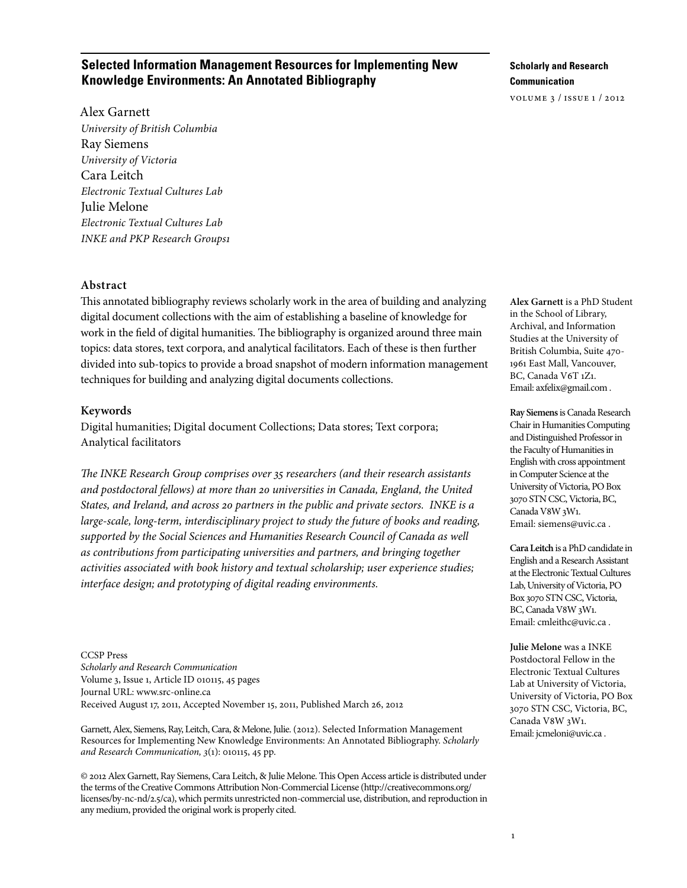## **Selected Information Management Resources for Implementing New Knowledge Environments: An Annotated Bibliography**

**Scholarly and Research Communication**

volume 3 / issue 1 / 2012

Alex Garnett *University of British Columbia* Ray Siemens *University of Victoria* Cara Leitch *Electronic Textual Cultures Lab* Julie Melone *Electronic Textual Cultures Lab INKE and PKP Research Groups1*

#### **Abstract**

This annotated bibliography reviews scholarly work in the area of building and analyzing digital document collections with the aim of establishing a baseline of knowledge for work in the field of digital humanities. The bibliography is organized around three main topics: data stores, text corpora, and analytical facilitators. Each of these is then further divided into sub-topics to provide a broad snapshot of modern information management techniques for building and analyzing digital documents collections.

#### **Keywords**

Digital humanities; Digital document Collections; Data stores; Text corpora; Analytical facilitators

*The INKE Research Group comprises over 35 researchers (and their research assistants and postdoctoral fellows) at more than 20 universities in Canada, England, the United States, and Ireland, and across 20 partners in the public and private sectors. INKE is a large-scale, long-term, interdisciplinary project to study the future of books and reading, supported by the Social Sciences and Humanities Research Council of Canada as well as contributions from participating universities and partners, and bringing together activities associated with book history and textual scholarship; user experience studies; interface design; and prototyping of digital reading environments.*

CCSP Press *Scholarly and Research Communication* Volume 3, Issue 1, Article ID 010115, 45 pages Journal URL: www.src-online.ca Received August 17, 2011, Accepted November 15, 2011, Published March 26, 2012

Garnett, Alex, Siemens, Ray, Leitch, Cara, & Melone, Julie. (2012). Selected Information Management Resources for Implementing New Knowledge Environments: An Annotated Bibliography. *Scholarly and Research Communication, 3*(1): 010115, 45 pp.

© 2012 Alex Garnett, Ray Siemens, Cara Leitch, & Julie Melone. This Open Access article is distributed under the terms of the Creative Commons Attribution Non-Commercial License (http://creativecommons.org/ licenses/by-nc-nd/2.5/ca), which permits unrestricted non-commercial use, distribution, and reproduction in any medium, provided the original work is properly cited.

**Alex Garnett** is a PhD Student in the School of Library, Archival, and Information Studies at the University of British Columbia, Suite 470- 1961 East Mall, Vancouver, BC, Canada V6T 1Z1. Email: axfelix@gmail.com .

**Ray Siemens** is Canada Research Chair in Humanities Computing and Distinguished Professor in the Faculty of Humanities in English with cross appointment in Computer Science at the University of Victoria, PO Box 3070 STN CSC, Victoria, BC, Canada V8W 3W1. Email: siemens@uvic.ca .

**Cara Leitch** is a PhD candidate in English and a Research Assistant at the Electronic Textual Cultures Lab, University of Victoria, PO Box 3070 STN CSC, Victoria, BC, Canada V8W 3W1. Email: cmleithc@uvic.ca .

**Julie Melone** was a INKE Postdoctoral Fellow in the Electronic Textual Cultures Lab at University of Victoria, University of Victoria, PO Box 3070 STN CSC, Victoria, BC, Canada V8W 3W1. Email: jcmeloni@uvic.ca .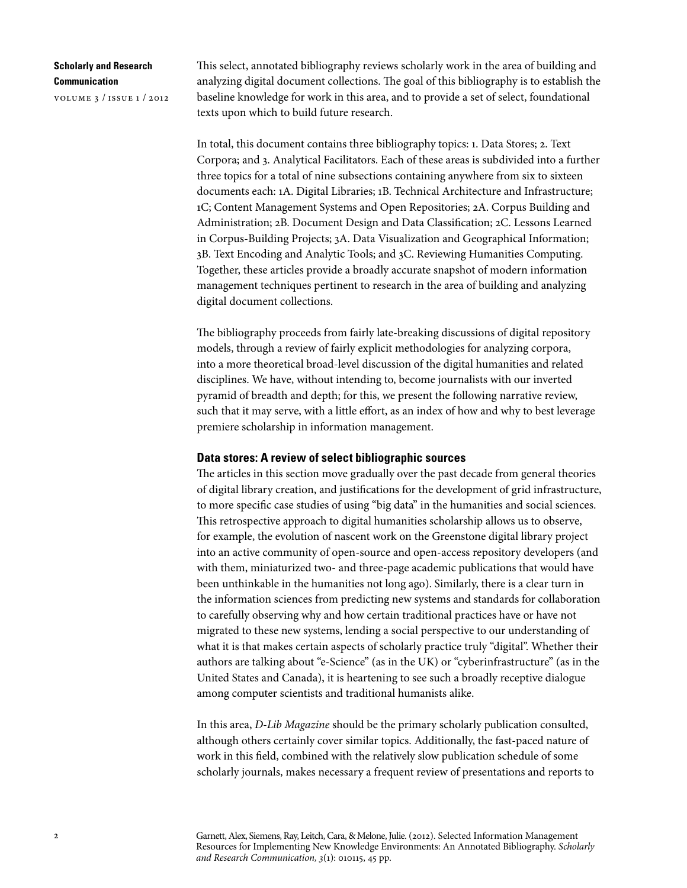volume 3 / issue 1 / 2012

This select, annotated bibliography reviews scholarly work in the area of building and analyzing digital document collections. The goal of this bibliography is to establish the baseline knowledge for work in this area, and to provide a set of select, foundational texts upon which to build future research.

In total, this document contains three bibliography topics: 1. Data Stores; 2. Text Corpora; and 3. Analytical Facilitators. Each of these areas is subdivided into a further three topics for a total of nine subsections containing anywhere from six to sixteen documents each: 1A. Digital Libraries; 1B. Technical Architecture and Infrastructure; 1C; Content Management Systems and Open Repositories; 2A. Corpus Building and Administration; 2B. Document Design and Data Classification; 2C. Lessons Learned in Corpus-Building Projects; 3A. Data Visualization and Geographical Information; 3B. Text Encoding and Analytic Tools; and 3C. Reviewing Humanities Computing. Together, these articles provide a broadly accurate snapshot of modern information management techniques pertinent to research in the area of building and analyzing digital document collections.

The bibliography proceeds from fairly late-breaking discussions of digital repository models, through a review of fairly explicit methodologies for analyzing corpora, into a more theoretical broad-level discussion of the digital humanities and related disciplines. We have, without intending to, become journalists with our inverted pyramid of breadth and depth; for this, we present the following narrative review, such that it may serve, with a little effort, as an index of how and why to best leverage premiere scholarship in information management.

#### **Data stores: A review of select bibliographic sources**

The articles in this section move gradually over the past decade from general theories of digital library creation, and justifications for the development of grid infrastructure, to more specific case studies of using "big data" in the humanities and social sciences. This retrospective approach to digital humanities scholarship allows us to observe, for example, the evolution of nascent work on the Greenstone digital library project into an active community of open-source and open-access repository developers (and with them, miniaturized two- and three-page academic publications that would have been unthinkable in the humanities not long ago). Similarly, there is a clear turn in the information sciences from predicting new systems and standards for collaboration to carefully observing why and how certain traditional practices have or have not migrated to these new systems, lending a social perspective to our understanding of what it is that makes certain aspects of scholarly practice truly "digital". Whether their authors are talking about "e-Science" (as in the UK) or "cyberinfrastructure" (as in the United States and Canada), it is heartening to see such a broadly receptive dialogue among computer scientists and traditional humanists alike.

In this area, *D-Lib Magazine* should be the primary scholarly publication consulted, although others certainly cover similar topics. Additionally, the fast-paced nature of work in this field, combined with the relatively slow publication schedule of some scholarly journals, makes necessary a frequent review of presentations and reports to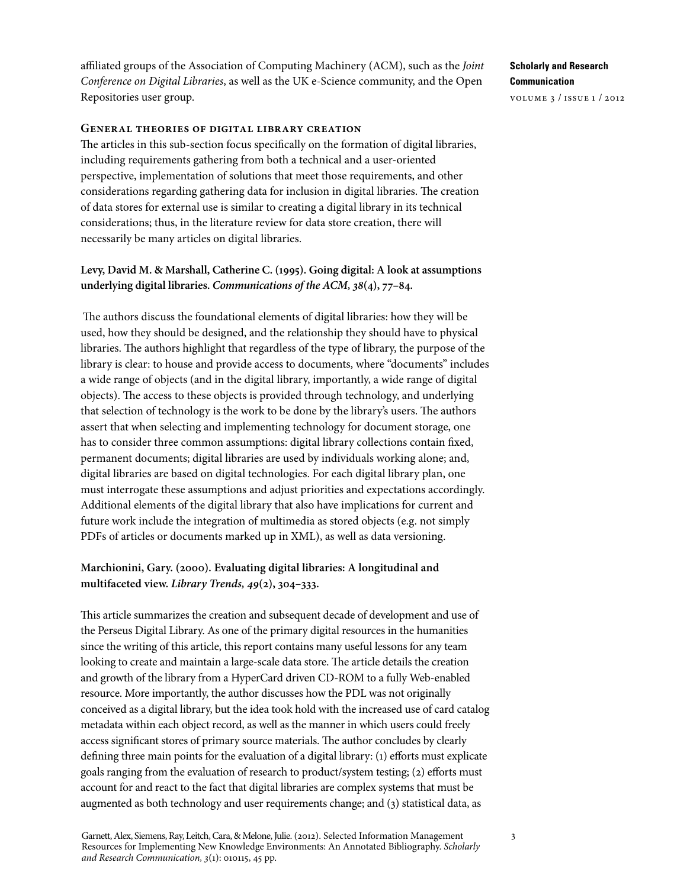affiliated groups of the Association of Computing Machinery (ACM), such as the *Joint Conference on Digital Libraries*, as well as the UK e-Science community, and the Open Repositories user group.

#### **General theories of digital library creation**

The articles in this sub-section focus specifically on the formation of digital libraries, including requirements gathering from both a technical and a user-oriented perspective, implementation of solutions that meet those requirements, and other considerations regarding gathering data for inclusion in digital libraries. The creation of data stores for external use is similar to creating a digital library in its technical considerations; thus, in the literature review for data store creation, there will necessarily be many articles on digital libraries.

### **Levy, David M. & Marshall, Catherine C. (1995). Going digital: A look at assumptions underlying digital libraries.** *Communications of the ACM, 38***(4), 77–84.**

The authors discuss the foundational elements of digital libraries: how they will be used, how they should be designed, and the relationship they should have to physical libraries. The authors highlight that regardless of the type of library, the purpose of the library is clear: to house and provide access to documents, where "documents" includes a wide range of objects (and in the digital library, importantly, a wide range of digital objects). The access to these objects is provided through technology, and underlying that selection of technology is the work to be done by the library's users. The authors assert that when selecting and implementing technology for document storage, one has to consider three common assumptions: digital library collections contain fixed, permanent documents; digital libraries are used by individuals working alone; and, digital libraries are based on digital technologies. For each digital library plan, one must interrogate these assumptions and adjust priorities and expectations accordingly. Additional elements of the digital library that also have implications for current and future work include the integration of multimedia as stored objects (e.g. not simply PDFs of articles or documents marked up in XML), as well as data versioning.

## **Marchionini, Gary. (2000). Evaluating digital libraries: A longitudinal and multifaceted view.** *Library Trends, 49***(2), 304–333.**

This article summarizes the creation and subsequent decade of development and use of the Perseus Digital Library. As one of the primary digital resources in the humanities since the writing of this article, this report contains many useful lessons for any team looking to create and maintain a large-scale data store. The article details the creation and growth of the library from a HyperCard driven CD-ROM to a fully Web-enabled resource. More importantly, the author discusses how the PDL was not originally conceived as a digital library, but the idea took hold with the increased use of card catalog metadata within each object record, as well as the manner in which users could freely access significant stores of primary source materials. The author concludes by clearly defining three main points for the evaluation of a digital library: (1) efforts must explicate goals ranging from the evaluation of research to product/system testing; (2) efforts must account for and react to the fact that digital libraries are complex systems that must be augmented as both technology and user requirements change; and (3) statistical data, as

## **Scholarly and Research Communication**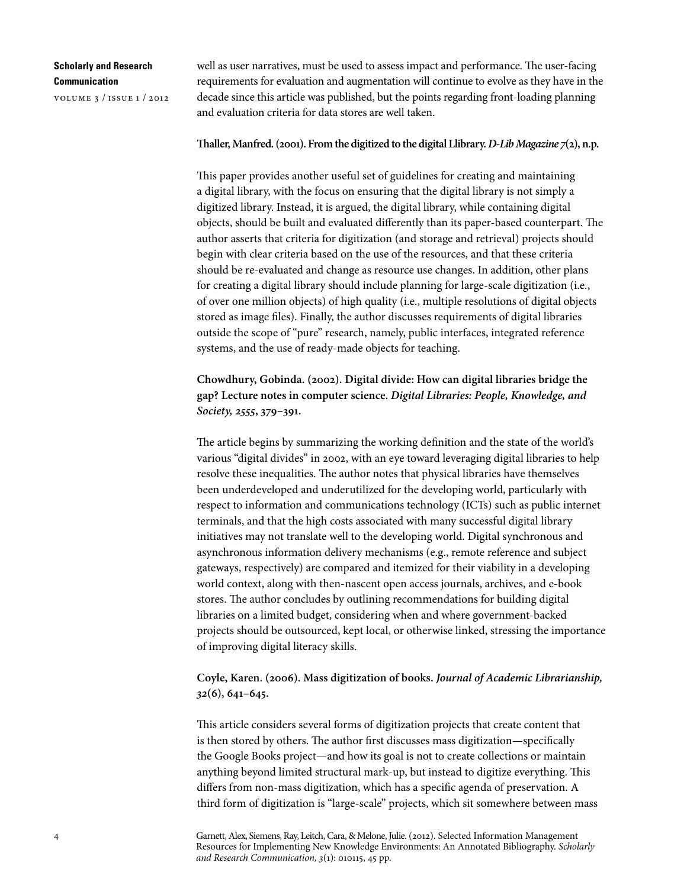volume 3 / issue 1 / 2012

well as user narratives, must be used to assess impact and performance. The user-facing requirements for evaluation and augmentation will continue to evolve as they have in the decade since this article was published, but the points regarding front-loading planning and evaluation criteria for data stores are well taken.

#### **Thaller, Manfred. (2001). From the digitized to the digital Llibrary.** *D-Lib Magazine 7***(2), n.p.**

This paper provides another useful set of guidelines for creating and maintaining a digital library, with the focus on ensuring that the digital library is not simply a digitized library. Instead, it is argued, the digital library, while containing digital objects, should be built and evaluated differently than its paper-based counterpart. The author asserts that criteria for digitization (and storage and retrieval) projects should begin with clear criteria based on the use of the resources, and that these criteria should be re-evaluated and change as resource use changes. In addition, other plans for creating a digital library should include planning for large-scale digitization (i.e., of over one million objects) of high quality (i.e., multiple resolutions of digital objects stored as image files). Finally, the author discusses requirements of digital libraries outside the scope of "pure" research, namely, public interfaces, integrated reference systems, and the use of ready-made objects for teaching.

**Chowdhury, Gobinda. (2002). Digital divide: How can digital libraries bridge the gap? Lecture notes in computer science.** *Digital Libraries: People, Knowledge, and Society, 2555***, 379–391.**

The article begins by summarizing the working definition and the state of the world's various "digital divides" in 2002, with an eye toward leveraging digital libraries to help resolve these inequalities. The author notes that physical libraries have themselves been underdeveloped and underutilized for the developing world, particularly with respect to information and communications technology (ICTs) such as public internet terminals, and that the high costs associated with many successful digital library initiatives may not translate well to the developing world. Digital synchronous and asynchronous information delivery mechanisms (e.g., remote reference and subject gateways, respectively) are compared and itemized for their viability in a developing world context, along with then-nascent open access journals, archives, and e-book stores. The author concludes by outlining recommendations for building digital libraries on a limited budget, considering when and where government-backed projects should be outsourced, kept local, or otherwise linked, stressing the importance of improving digital literacy skills.

## **Coyle, Karen. (2006). Mass digitization of books.** *Journal of Academic Librarianship, 32***(6), 641–645.**

This article considers several forms of digitization projects that create content that is then stored by others. The author first discusses mass digitization—specifically the Google Books project—and how its goal is not to create collections or maintain anything beyond limited structural mark-up, but instead to digitize everything. This differs from non-mass digitization, which has a specific agenda of preservation. A third form of digitization is "large-scale" projects, which sit somewhere between mass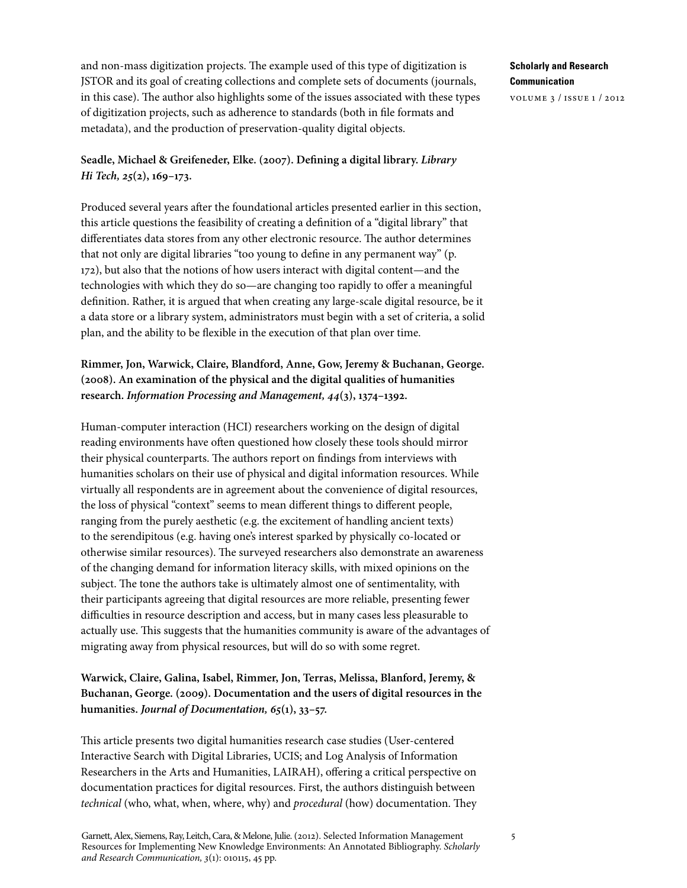and non-mass digitization projects. The example used of this type of digitization is JSTOR and its goal of creating collections and complete sets of documents (journals, in this case). The author also highlights some of the issues associated with these types of digitization projects, such as adherence to standards (both in file formats and metadata), and the production of preservation-quality digital objects.

## **Seadle, Michael & Greifeneder, Elke. (2007). Defining a digital library.** *Library Hi Tech, 25***(2), 169–173.**

Produced several years after the foundational articles presented earlier in this section, this article questions the feasibility of creating a definition of a "digital library" that differentiates data stores from any other electronic resource. The author determines that not only are digital libraries "too young to define in any permanent way" (p. 172), but also that the notions of how users interact with digital content—and the technologies with which they do so—are changing too rapidly to offer a meaningful definition. Rather, it is argued that when creating any large-scale digital resource, be it a data store or a library system, administrators must begin with a set of criteria, a solid plan, and the ability to be flexible in the execution of that plan over time.

# **Rimmer, Jon, Warwick, Claire, Blandford, Anne, Gow, Jeremy & Buchanan, George. (2008). An examination of the physical and the digital qualities of humanities research.** *Information Processing and Management, 44***(3), 1374–1392.**

Human-computer interaction (HCI) researchers working on the design of digital reading environments have often questioned how closely these tools should mirror their physical counterparts. The authors report on findings from interviews with humanities scholars on their use of physical and digital information resources. While virtually all respondents are in agreement about the convenience of digital resources, the loss of physical "context" seems to mean different things to different people, ranging from the purely aesthetic (e.g. the excitement of handling ancient texts) to the serendipitous (e.g. having one's interest sparked by physically co-located or otherwise similar resources). The surveyed researchers also demonstrate an awareness of the changing demand for information literacy skills, with mixed opinions on the subject. The tone the authors take is ultimately almost one of sentimentality, with their participants agreeing that digital resources are more reliable, presenting fewer difficulties in resource description and access, but in many cases less pleasurable to actually use. This suggests that the humanities community is aware of the advantages of migrating away from physical resources, but will do so with some regret.

# **Warwick, Claire, Galina, Isabel, Rimmer, Jon, Terras, Melissa, Blanford, Jeremy, & Buchanan, George. (2009). Documentation and the users of digital resources in the humanities.** *Journal of Documentation, 65***(1), 33–57.**

This article presents two digital humanities research case studies (User-centered Interactive Search with Digital Libraries, UCIS; and Log Analysis of Information Researchers in the Arts and Humanities, LAIRAH), offering a critical perspective on documentation practices for digital resources. First, the authors distinguish between *technical* (who, what, when, where, why) and *procedural* (how) documentation. They

Garnett, Alex, Siemens, Ray, Leitch, Cara, & Melone, Julie. (2012). Selected Information Management Resources for Implementing New Knowledge Environments: An Annotated Bibliography. *Scholarly and Research Communication, 3*(1): 010115, 45 pp.

**Scholarly and Research Communication**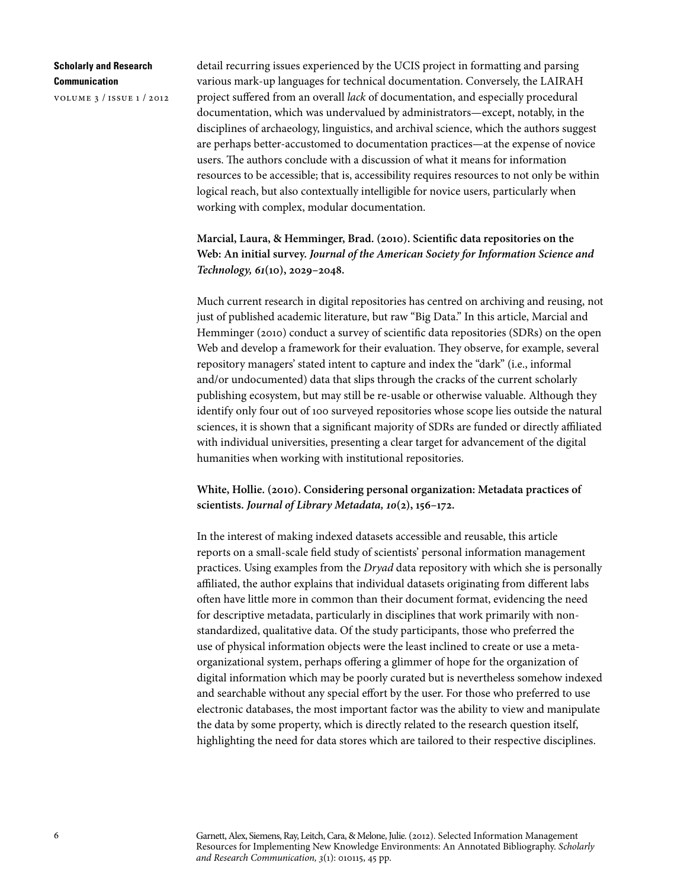volume 3 / issue 1 / 2012

detail recurring issues experienced by the UCIS project in formatting and parsing various mark-up languages for technical documentation. Conversely, the LAIRAH project suffered from an overall *lack* of documentation, and especially procedural documentation, which was undervalued by administrators—except, notably, in the disciplines of archaeology, linguistics, and archival science, which the authors suggest are perhaps better-accustomed to documentation practices—at the expense of novice users. The authors conclude with a discussion of what it means for information resources to be accessible; that is, accessibility requires resources to not only be within logical reach, but also contextually intelligible for novice users, particularly when working with complex, modular documentation.

**Marcial, Laura, & Hemminger, Brad. (2010). Scientific data repositories on the Web: An initial survey.** *Journal of the American Society for Information Science and Technology, 61***(10), 2029–2048.**

Much current research in digital repositories has centred on archiving and reusing, not just of published academic literature, but raw "Big Data." In this article, Marcial and Hemminger (2010) conduct a survey of scientific data repositories (SDRs) on the open Web and develop a framework for their evaluation. They observe, for example, several repository managers' stated intent to capture and index the "dark" (i.e., informal and/or undocumented) data that slips through the cracks of the current scholarly publishing ecosystem, but may still be re-usable or otherwise valuable. Although they identify only four out of 100 surveyed repositories whose scope lies outside the natural sciences, it is shown that a significant majority of SDRs are funded or directly affiliated with individual universities, presenting a clear target for advancement of the digital humanities when working with institutional repositories.

**White, Hollie. (2010). Considering personal organization: Metadata practices of scientists.** *Journal of Library Metadata, 10***(2), 156–172.**

In the interest of making indexed datasets accessible and reusable, this article reports on a small-scale field study of scientists' personal information management practices. Using examples from the *Dryad* data repository with which she is personally affiliated, the author explains that individual datasets originating from different labs often have little more in common than their document format, evidencing the need for descriptive metadata, particularly in disciplines that work primarily with nonstandardized, qualitative data. Of the study participants, those who preferred the use of physical information objects were the least inclined to create or use a metaorganizational system, perhaps offering a glimmer of hope for the organization of digital information which may be poorly curated but is nevertheless somehow indexed and searchable without any special effort by the user. For those who preferred to use electronic databases, the most important factor was the ability to view and manipulate the data by some property, which is directly related to the research question itself, highlighting the need for data stores which are tailored to their respective disciplines.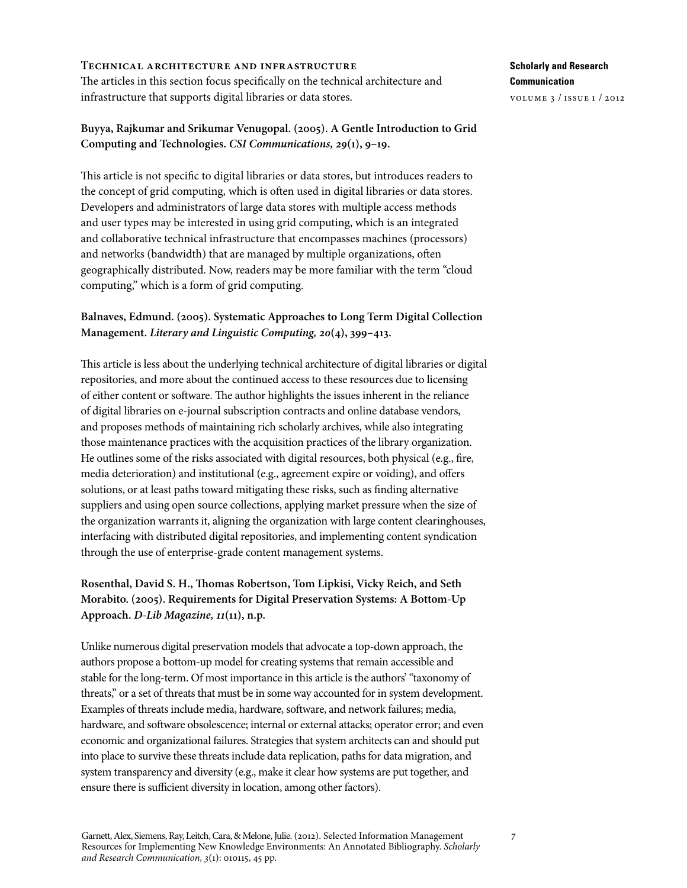#### **Technical architecture and infrastructure**

The articles in this section focus specifically on the technical architecture and infrastructure that supports digital libraries or data stores.

## **Buyya, Rajkumar and Srikumar Venugopal. (2005). A Gentle Introduction to Grid Computing and Technologies.** *CSI Communications, 29***(1), 9–19.**

This article is not specific to digital libraries or data stores, but introduces readers to the concept of grid computing, which is often used in digital libraries or data stores. Developers and administrators of large data stores with multiple access methods and user types may be interested in using grid computing, which is an integrated and collaborative technical infrastructure that encompasses machines (processors) and networks (bandwidth) that are managed by multiple organizations, often geographically distributed. Now, readers may be more familiar with the term "cloud computing," which is a form of grid computing.

# **Balnaves, Edmund. (2005). Systematic Approaches to Long Term Digital Collection Management.** *Literary and Linguistic Computing, 20***(4), 399–413.**

This article is less about the underlying technical architecture of digital libraries or digital repositories, and more about the continued access to these resources due to licensing of either content or software. The author highlights the issues inherent in the reliance of digital libraries on e-journal subscription contracts and online database vendors, and proposes methods of maintaining rich scholarly archives, while also integrating those maintenance practices with the acquisition practices of the library organization. He outlines some of the risks associated with digital resources, both physical (e.g., fire, media deterioration) and institutional (e.g., agreement expire or voiding), and offers solutions, or at least paths toward mitigating these risks, such as finding alternative suppliers and using open source collections, applying market pressure when the size of the organization warrants it, aligning the organization with large content clearinghouses, interfacing with distributed digital repositories, and implementing content syndication through the use of enterprise-grade content management systems.

# **Rosenthal, David S. H., Thomas Robertson, Tom Lipkisi, Vicky Reich, and Seth Morabito. (2005). Requirements for Digital Preservation Systems: A Bottom-Up Approach.** *D-Lib Magazine, 11***(11), n.p.**

Unlike numerous digital preservation models that advocate a top-down approach, the authors propose a bottom-up model for creating systems that remain accessible and stable for the long-term. Of most importance in this article is the authors' "taxonomy of threats," or a set of threats that must be in some way accounted for in system development. Examples of threats include media, hardware, software, and network failures; media, hardware, and software obsolescence; internal or external attacks; operator error; and even economic and organizational failures. Strategies that system architects can and should put into place to survive these threats include data replication, paths for data migration, and system transparency and diversity (e.g., make it clear how systems are put together, and ensure there is sufficient diversity in location, among other factors).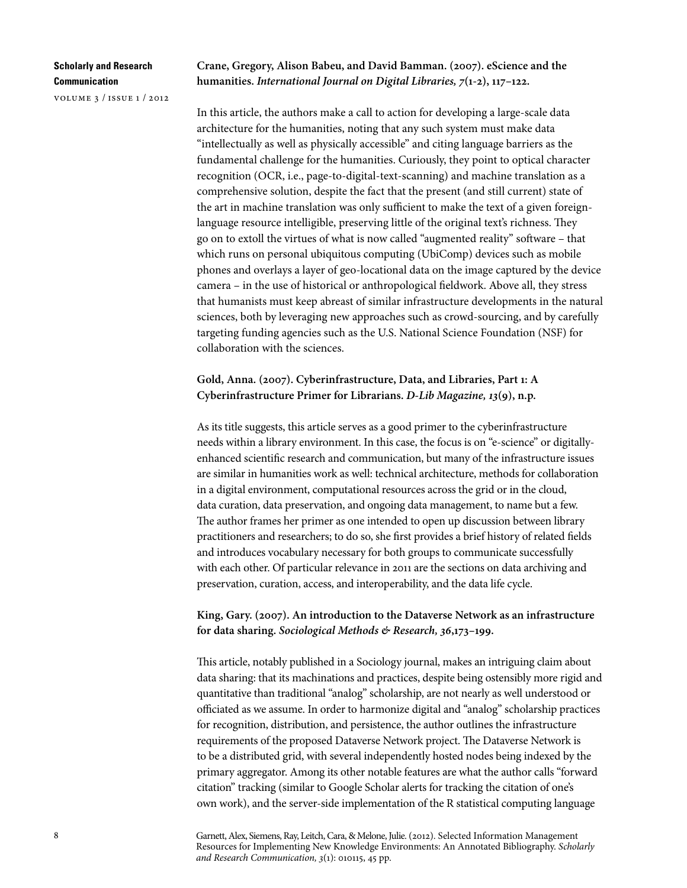volume 3 / issue 1 / 2012

**Crane, Gregory, Alison Babeu, and David Bamman. (2007). eScience and the humanities.** *International Journal on Digital Libraries, 7***(1-2), 117–122.**

In this article, the authors make a call to action for developing a large-scale data architecture for the humanities, noting that any such system must make data "intellectually as well as physically accessible" and citing language barriers as the fundamental challenge for the humanities. Curiously, they point to optical character recognition (OCR, i.e., page-to-digital-text-scanning) and machine translation as a comprehensive solution, despite the fact that the present (and still current) state of the art in machine translation was only sufficient to make the text of a given foreignlanguage resource intelligible, preserving little of the original text's richness. They go on to extoll the virtues of what is now called "augmented reality" software – that which runs on personal ubiquitous computing (UbiComp) devices such as mobile phones and overlays a layer of geo-locational data on the image captured by the device camera – in the use of historical or anthropological fieldwork. Above all, they stress that humanists must keep abreast of similar infrastructure developments in the natural sciences, both by leveraging new approaches such as crowd-sourcing, and by carefully targeting funding agencies such as the U.S. National Science Foundation (NSF) for collaboration with the sciences.

## **Gold, Anna. (2007). Cyberinfrastructure, Data, and Libraries, Part 1: A Cyberinfrastructure Primer for Librarians.** *D-Lib Magazine, 13***(9), n.p.**

As its title suggests, this article serves as a good primer to the cyberinfrastructure needs within a library environment. In this case, the focus is on "e-science" or digitallyenhanced scientific research and communication, but many of the infrastructure issues are similar in humanities work as well: technical architecture, methods for collaboration in a digital environment, computational resources across the grid or in the cloud, data curation, data preservation, and ongoing data management, to name but a few. The author frames her primer as one intended to open up discussion between library practitioners and researchers; to do so, she first provides a brief history of related fields and introduces vocabulary necessary for both groups to communicate successfully with each other. Of particular relevance in 2011 are the sections on data archiving and preservation, curation, access, and interoperability, and the data life cycle.

## **King, Gary. (2007). An introduction to the Dataverse Network as an infrastructure for data sharing.** *Sociological Methods & Research, 36***,173–199.**

This article, notably published in a Sociology journal, makes an intriguing claim about data sharing: that its machinations and practices, despite being ostensibly more rigid and quantitative than traditional "analog" scholarship, are not nearly as well understood or officiated as we assume. In order to harmonize digital and "analog" scholarship practices for recognition, distribution, and persistence, the author outlines the infrastructure requirements of the proposed Dataverse Network project. The Dataverse Network is to be a distributed grid, with several independently hosted nodes being indexed by the primary aggregator. Among its other notable features are what the author calls "forward citation" tracking (similar to Google Scholar alerts for tracking the citation of one's own work), and the server-side implementation of the R statistical computing language

Garnett, Alex, Siemens, Ray, Leitch, Cara, & Melone, Julie. (2012). Selected Information Management Resources for Implementing New Knowledge Environments: An Annotated Bibliography. *Scholarly and Research Communication, 3*(1): 010115, 45 pp.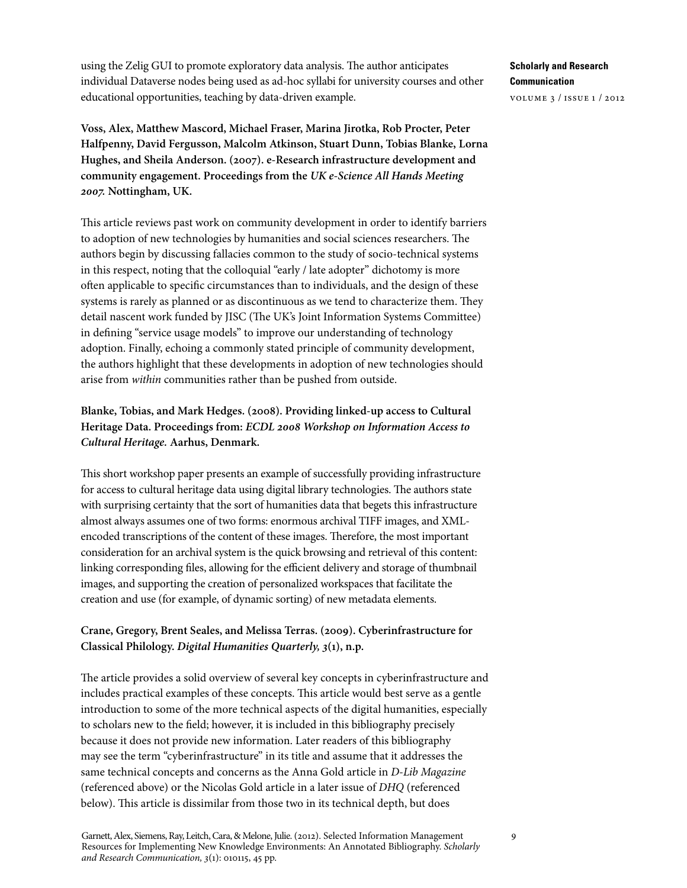using the Zelig GUI to promote exploratory data analysis. The author anticipates individual Dataverse nodes being used as ad-hoc syllabi for university courses and other educational opportunities, teaching by data-driven example.

**Voss, Alex, Matthew Mascord, Michael Fraser, Marina Jirotka, Rob Procter, Peter Halfpenny, David Fergusson, Malcolm Atkinson, Stuart Dunn, Tobias Blanke, Lorna Hughes, and Sheila Anderson. (2007). e-Research infrastructure development and community engagement. Proceedings from the** *UK e-Science All Hands Meeting 2007.* **Nottingham, UK.**

This article reviews past work on community development in order to identify barriers to adoption of new technologies by humanities and social sciences researchers. The authors begin by discussing fallacies common to the study of socio-technical systems in this respect, noting that the colloquial "early / late adopter" dichotomy is more often applicable to specific circumstances than to individuals, and the design of these systems is rarely as planned or as discontinuous as we tend to characterize them. They detail nascent work funded by JISC (The UK's Joint Information Systems Committee) in defining "service usage models" to improve our understanding of technology adoption. Finally, echoing a commonly stated principle of community development, the authors highlight that these developments in adoption of new technologies should arise from *within* communities rather than be pushed from outside.

# **Blanke, Tobias, and Mark Hedges. (2008). Providing linked-up access to Cultural Heritage Data. Proceedings from:** *ECDL 2008 Workshop on Information Access to Cultural Heritage.* **Aarhus, Denmark.**

This short workshop paper presents an example of successfully providing infrastructure for access to cultural heritage data using digital library technologies. The authors state with surprising certainty that the sort of humanities data that begets this infrastructure almost always assumes one of two forms: enormous archival TIFF images, and XMLencoded transcriptions of the content of these images. Therefore, the most important consideration for an archival system is the quick browsing and retrieval of this content: linking corresponding files, allowing for the efficient delivery and storage of thumbnail images, and supporting the creation of personalized workspaces that facilitate the creation and use (for example, of dynamic sorting) of new metadata elements.

## **Crane, Gregory, Brent Seales, and Melissa Terras. (2009). Cyberinfrastructure for Classical Philology.** *Digital Humanities Quarterly, 3***(1), n.p.**

The article provides a solid overview of several key concepts in cyberinfrastructure and includes practical examples of these concepts. This article would best serve as a gentle introduction to some of the more technical aspects of the digital humanities, especially to scholars new to the field; however, it is included in this bibliography precisely because it does not provide new information. Later readers of this bibliography may see the term "cyberinfrastructure" in its title and assume that it addresses the same technical concepts and concerns as the Anna Gold article in *D-Lib Magazine* (referenced above) or the Nicolas Gold article in a later issue of *DHQ* (referenced below). This article is dissimilar from those two in its technical depth, but does

**Scholarly and Research Communication**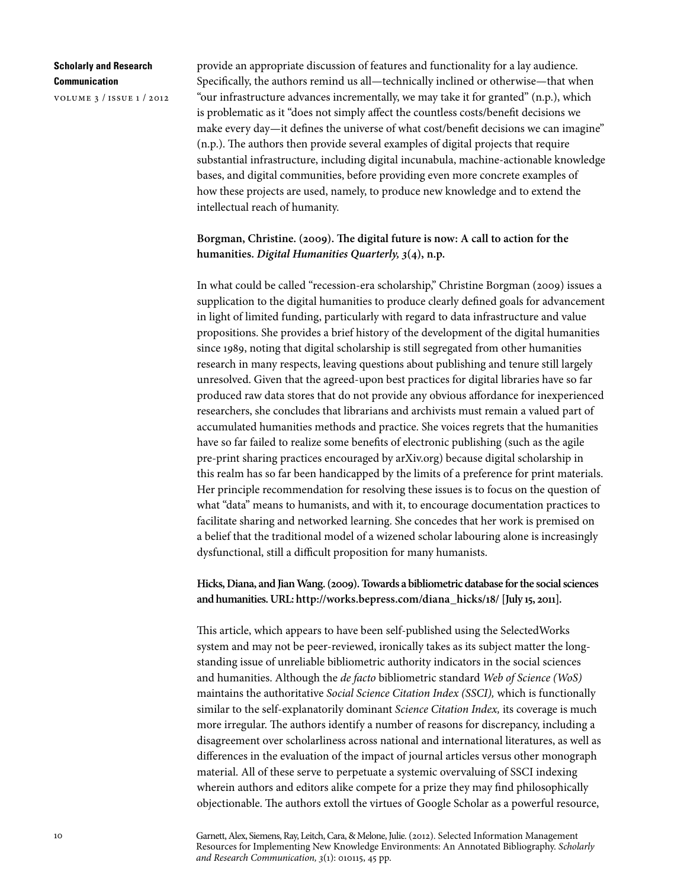volume 3 / issue 1 / 2012

provide an appropriate discussion of features and functionality for a lay audience. Specifically, the authors remind us all—technically inclined or otherwise—that when "our infrastructure advances incrementally, we may take it for granted" (n.p.), which is problematic as it "does not simply affect the countless costs/benefit decisions we make every day—it defines the universe of what cost/benefit decisions we can imagine" (n.p.). The authors then provide several examples of digital projects that require substantial infrastructure, including digital incunabula, machine-actionable knowledge bases, and digital communities, before providing even more concrete examples of how these projects are used, namely, to produce new knowledge and to extend the intellectual reach of humanity.

## **Borgman, Christine. (2009). The digital future is now: A call to action for the humanities.** *Digital Humanities Quarterly, 3***(4), n.p.**

In what could be called "recession-era scholarship," Christine Borgman (2009) issues a supplication to the digital humanities to produce clearly defined goals for advancement in light of limited funding, particularly with regard to data infrastructure and value propositions. She provides a brief history of the development of the digital humanities since 1989, noting that digital scholarship is still segregated from other humanities research in many respects, leaving questions about publishing and tenure still largely unresolved. Given that the agreed-upon best practices for digital libraries have so far produced raw data stores that do not provide any obvious affordance for inexperienced researchers, she concludes that librarians and archivists must remain a valued part of accumulated humanities methods and practice. She voices regrets that the humanities have so far failed to realize some benefits of electronic publishing (such as the agile pre-print sharing practices encouraged by arXiv.org) because digital scholarship in this realm has so far been handicapped by the limits of a preference for print materials. Her principle recommendation for resolving these issues is to focus on the question of what "data" means to humanists, and with it, to encourage documentation practices to facilitate sharing and networked learning. She concedes that her work is premised on a belief that the traditional model of a wizened scholar labouring alone is increasingly dysfunctional, still a difficult proposition for many humanists.

### **Hicks, Diana, and Jian Wang. (2009). Towards a bibliometric database for the social sciences and humanities. URL: [http://works.bepress.com/diana\\_hicks/18/](http://works.bepress.com/diana_hicks/18/) [July 15, 2011].**

This article, which appears to have been self-published using the SelectedWorks system and may not be peer-reviewed, ironically takes as its subject matter the longstanding issue of unreliable bibliometric authority indicators in the social sciences and humanities. Although the *de facto* bibliometric standard *Web of Science (WoS)* maintains the authoritative *Social Science Citation Index (SSCI),* which is functionally similar to the self-explanatorily dominant *Science Citation Index,* its coverage is much more irregular. The authors identify a number of reasons for discrepancy, including a disagreement over scholarliness across national and international literatures, as well as differences in the evaluation of the impact of journal articles versus other monograph material. All of these serve to perpetuate a systemic overvaluing of SSCI indexing wherein authors and editors alike compete for a prize they may find philosophically objectionable. The authors extoll the virtues of Google Scholar as a powerful resource,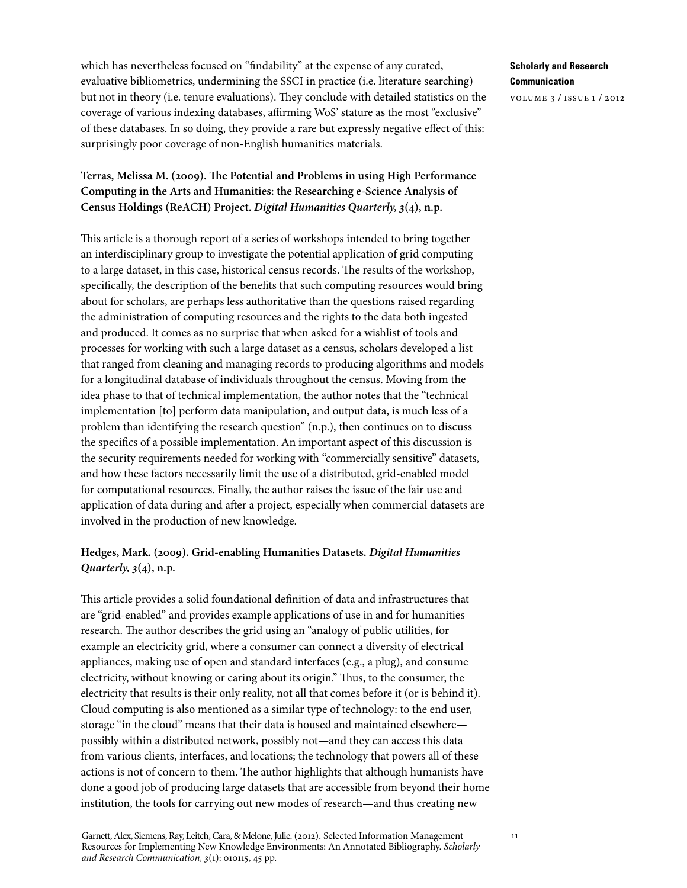which has nevertheless focused on "findability" at the expense of any curated, evaluative bibliometrics, undermining the SSCI in practice (i.e. literature searching) but not in theory (i.e. tenure evaluations). They conclude with detailed statistics on the coverage of various indexing databases, affirming WoS' stature as the most "exclusive" of these databases. In so doing, they provide a rare but expressly negative effect of this: surprisingly poor coverage of non-English humanities materials.

# **Terras, Melissa M. (2009). The Potential and Problems in using High Performance Computing in the Arts and Humanities: the Researching e-Science Analysis of Census Holdings (ReACH) Project.** *Digital Humanities Quarterly, 3***(4), n.p.**

This article is a thorough report of a series of workshops intended to bring together an interdisciplinary group to investigate the potential application of grid computing to a large dataset, in this case, historical census records. The results of the workshop, specifically, the description of the benefits that such computing resources would bring about for scholars, are perhaps less authoritative than the questions raised regarding the administration of computing resources and the rights to the data both ingested and produced. It comes as no surprise that when asked for a wishlist of tools and processes for working with such a large dataset as a census, scholars developed a list that ranged from cleaning and managing records to producing algorithms and models for a longitudinal database of individuals throughout the census. Moving from the idea phase to that of technical implementation, the author notes that the "technical implementation [to] perform data manipulation, and output data, is much less of a problem than identifying the research question" (n.p.), then continues on to discuss the specifics of a possible implementation. An important aspect of this discussion is the security requirements needed for working with "commercially sensitive" datasets, and how these factors necessarily limit the use of a distributed, grid-enabled model for computational resources. Finally, the author raises the issue of the fair use and application of data during and after a project, especially when commercial datasets are involved in the production of new knowledge.

## **Hedges, Mark. (2009). Grid-enabling Humanities Datasets.** *Digital Humanities Quarterly, 3***(4), n.p.**

This article provides a solid foundational definition of data and infrastructures that are "grid-enabled" and provides example applications of use in and for humanities research. The author describes the grid using an "analogy of public utilities, for example an electricity grid, where a consumer can connect a diversity of electrical appliances, making use of open and standard interfaces (e.g., a plug), and consume electricity, without knowing or caring about its origin." Thus, to the consumer, the electricity that results is their only reality, not all that comes before it (or is behind it). Cloud computing is also mentioned as a similar type of technology: to the end user, storage "in the cloud" means that their data is housed and maintained elsewhere possibly within a distributed network, possibly not—and they can access this data from various clients, interfaces, and locations; the technology that powers all of these actions is not of concern to them. The author highlights that although humanists have done a good job of producing large datasets that are accessible from beyond their home institution, the tools for carrying out new modes of research—and thus creating new

### **Scholarly and Research Communication**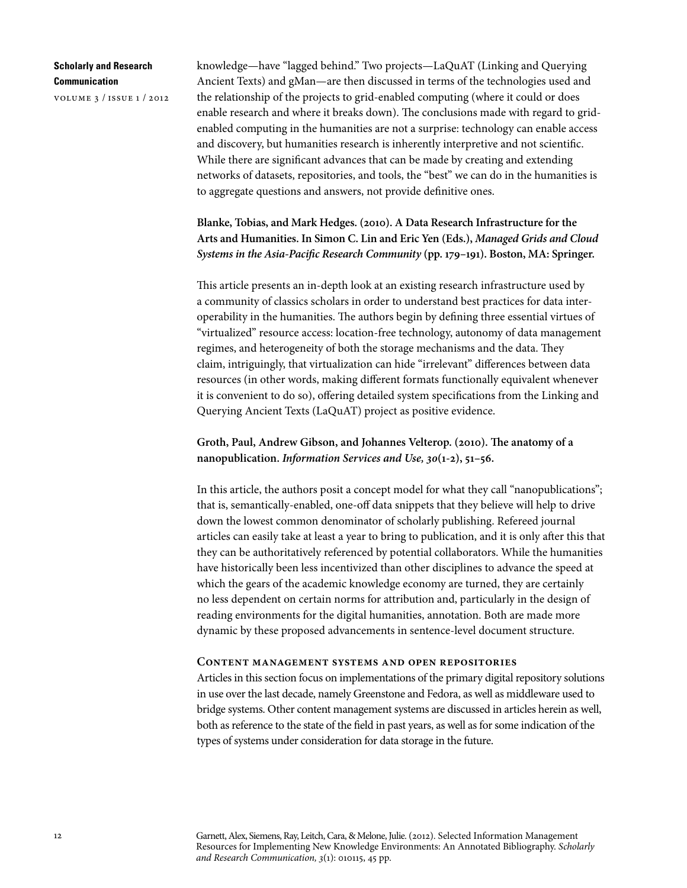volume 3 / issue 1 / 2012

knowledge—have "lagged behind." Two projects—LaQuAT (Linking and Querying Ancient Texts) and gMan—are then discussed in terms of the technologies used and the relationship of the projects to grid-enabled computing (where it could or does enable research and where it breaks down). The conclusions made with regard to gridenabled computing in the humanities are not a surprise: technology can enable access and discovery, but humanities research is inherently interpretive and not scientific. While there are significant advances that can be made by creating and extending networks of datasets, repositories, and tools, the "best" we can do in the humanities is to aggregate questions and answers, not provide definitive ones.

# **Blanke, Tobias, and Mark Hedges. (2010). A Data Research Infrastructure for the Arts and Humanities. In Simon C. Lin and Eric Yen (Eds.),** *Managed Grids and Cloud Systems in the Asia-Pacific Research Community* **(pp. 179–191). Boston, MA: Springer.**

This article presents an in-depth look at an existing research infrastructure used by a community of classics scholars in order to understand best practices for data interoperability in the humanities. The authors begin by defining three essential virtues of "virtualized" resource access: location-free technology, autonomy of data management regimes, and heterogeneity of both the storage mechanisms and the data. They claim, intriguingly, that virtualization can hide "irrelevant" differences between data resources (in other words, making different formats functionally equivalent whenever it is convenient to do so), offering detailed system specifications from the Linking and Querying Ancient Texts (LaQuAT) project as positive evidence.

**Groth, Paul, Andrew Gibson, and Johannes Velterop. (2010). The anatomy of a nanopublication.** *Information Services and Use, 30***(1-2), 51–56.**

In this article, the authors posit a concept model for what they call "nanopublications"; that is, semantically-enabled, one-off data snippets that they believe will help to drive down the lowest common denominator of scholarly publishing. Refereed journal articles can easily take at least a year to bring to publication, and it is only after this that they can be authoritatively referenced by potential collaborators. While the humanities have historically been less incentivized than other disciplines to advance the speed at which the gears of the academic knowledge economy are turned, they are certainly no less dependent on certain norms for attribution and, particularly in the design of reading environments for the digital humanities, annotation. Both are made more dynamic by these proposed advancements in sentence-level document structure.

#### **Content management systems and open repositories**

Articles in this section focus on implementations of the primary digital repository solutions in use over the last decade, namely Greenstone and Fedora, as well as middleware used to bridge systems. Other content management systems are discussed in articles herein as well, both as reference to the state of the field in past years, as well as for some indication of the types of systems under consideration for data storage in the future.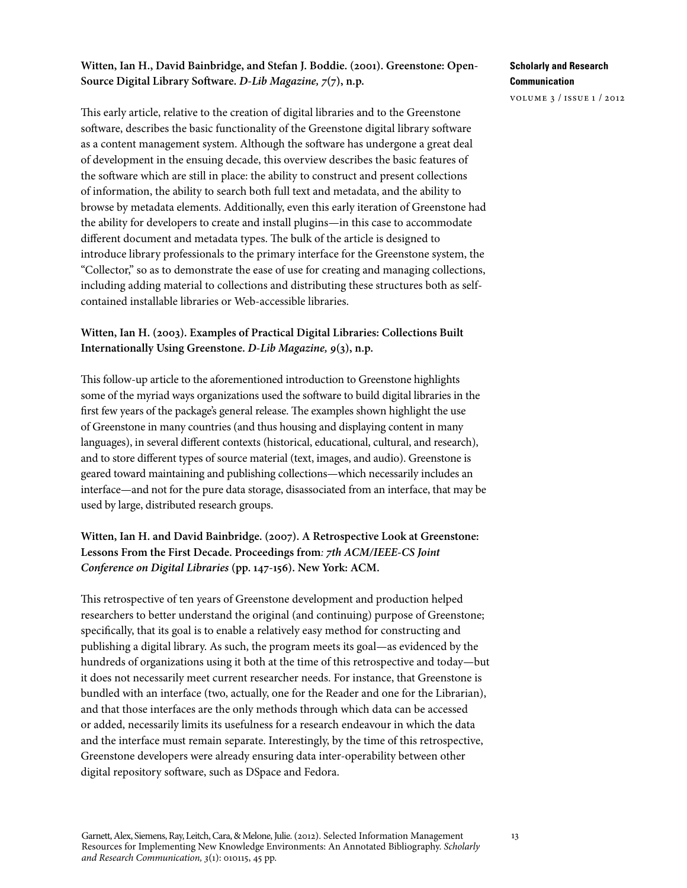## **Witten, Ian H., David Bainbridge, and Stefan J. Boddie. (2001). Greenstone: Open-Source Digital Library Software.** *D-Lib Magazine, 7***(7), n.p.**

This early article, relative to the creation of digital libraries and to the Greenstone software, describes the basic functionality of the Greenstone digital library software as a content management system. Although the software has undergone a great deal of development in the ensuing decade, this overview describes the basic features of the software which are still in place: the ability to construct and present collections of information, the ability to search both full text and metadata, and the ability to browse by metadata elements. Additionally, even this early iteration of Greenstone had the ability for developers to create and install plugins—in this case to accommodate different document and metadata types. The bulk of the article is designed to introduce library professionals to the primary interface for the Greenstone system, the "Collector," so as to demonstrate the ease of use for creating and managing collections, including adding material to collections and distributing these structures both as selfcontained installable libraries or Web-accessible libraries.

# **Witten, Ian H. (2003). Examples of Practical Digital Libraries: Collections Built Internationally Using Greenstone.** *D-Lib Magazine, 9***(3), n.p.**

This follow-up article to the aforementioned introduction to Greenstone highlights some of the myriad ways organizations used the software to build digital libraries in the first few years of the package's general release. The examples shown highlight the use of Greenstone in many countries (and thus housing and displaying content in many languages), in several different contexts (historical, educational, cultural, and research), and to store different types of source material (text, images, and audio). Greenstone is geared toward maintaining and publishing collections—which necessarily includes an interface—and not for the pure data storage, disassociated from an interface, that may be used by large, distributed research groups.

**Witten, Ian H. and David Bainbridge. (2007). A Retrospective Look at Greenstone: Lessons From the First Decade. Proceedings from***: 7th ACM/IEEE-CS Joint Conference on Digital Libraries* **(pp. 147-156). New York: ACM.**

This retrospective of ten years of Greenstone development and production helped researchers to better understand the original (and continuing) purpose of Greenstone; specifically, that its goal is to enable a relatively easy method for constructing and publishing a digital library. As such, the program meets its goal—as evidenced by the hundreds of organizations using it both at the time of this retrospective and today—but it does not necessarily meet current researcher needs. For instance, that Greenstone is bundled with an interface (two, actually, one for the Reader and one for the Librarian), and that those interfaces are the only methods through which data can be accessed or added, necessarily limits its usefulness for a research endeavour in which the data and the interface must remain separate. Interestingly, by the time of this retrospective, Greenstone developers were already ensuring data inter-operability between other digital repository software, such as DSpace and Fedora.

# **Scholarly and Research Communication**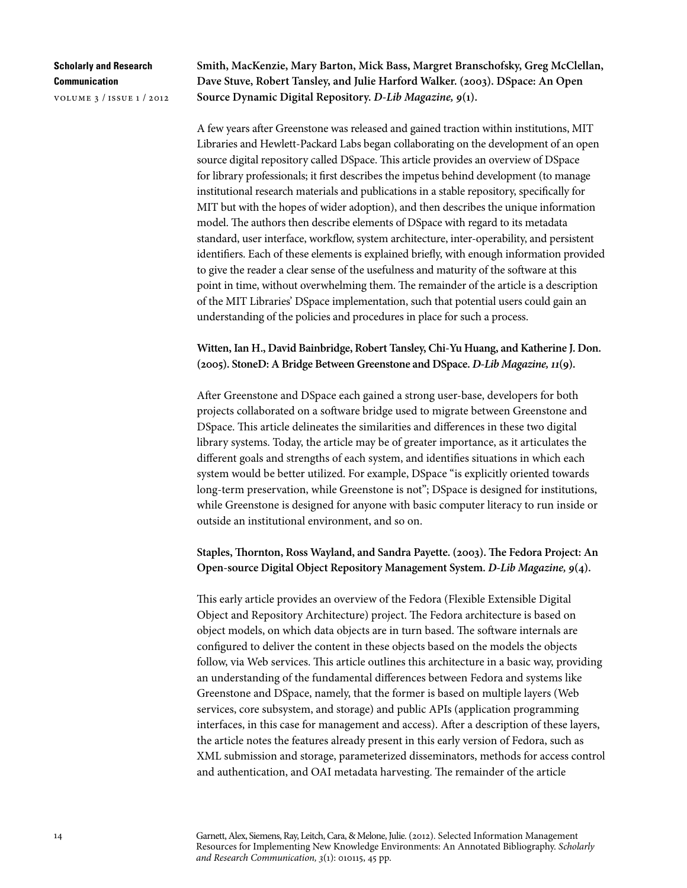volume 3 / issue 1 / 2012

**Smith, MacKenzie, Mary Barton, Mick Bass, Margret Branschofsky, Greg McClellan, Dave Stuve, Robert Tansley, and Julie Harford Walker. (2003). DSpace: An Open Source Dynamic Digital Repository.** *D-Lib Magazine, 9***(1).**

A few years after Greenstone was released and gained traction within institutions, MIT Libraries and Hewlett-Packard Labs began collaborating on the development of an open source digital repository called DSpace. This article provides an overview of DSpace for library professionals; it first describes the impetus behind development (to manage institutional research materials and publications in a stable repository, specifically for MIT but with the hopes of wider adoption), and then describes the unique information model. The authors then describe elements of DSpace with regard to its metadata standard, user interface, workflow, system architecture, inter-operability, and persistent identifiers. Each of these elements is explained briefly, with enough information provided to give the reader a clear sense of the usefulness and maturity of the software at this point in time, without overwhelming them. The remainder of the article is a description of the MIT Libraries' DSpace implementation, such that potential users could gain an understanding of the policies and procedures in place for such a process.

**Witten, Ian H., David Bainbridge, Robert Tansley, Chi-Yu Huang, and Katherine J. Don. (2005). StoneD: A Bridge Between Greenstone and DSpace.** *D-Lib Magazine, 11***(9).**

After Greenstone and DSpace each gained a strong user-base, developers for both projects collaborated on a software bridge used to migrate between Greenstone and DSpace. This article delineates the similarities and differences in these two digital library systems. Today, the article may be of greater importance, as it articulates the different goals and strengths of each system, and identifies situations in which each system would be better utilized. For example, DSpace "is explicitly oriented towards long-term preservation, while Greenstone is not"; DSpace is designed for institutions, while Greenstone is designed for anyone with basic computer literacy to run inside or outside an institutional environment, and so on.

## **Staples, Thornton, Ross Wayland, and Sandra Payette. (2003). The Fedora Project: An Open-source Digital Object Repository Management System.** *D-Lib Magazine, 9***(4).**

This early article provides an overview of the Fedora (Flexible Extensible Digital Object and Repository Architecture) project. The Fedora architecture is based on object models, on which data objects are in turn based. The software internals are configured to deliver the content in these objects based on the models the objects follow, via Web services. This article outlines this architecture in a basic way, providing an understanding of the fundamental differences between Fedora and systems like Greenstone and DSpace, namely, that the former is based on multiple layers (Web services, core subsystem, and storage) and public APIs (application programming interfaces, in this case for management and access). After a description of these layers, the article notes the features already present in this early version of Fedora, such as XML submission and storage, parameterized disseminators, methods for access control and authentication, and OAI metadata harvesting. The remainder of the article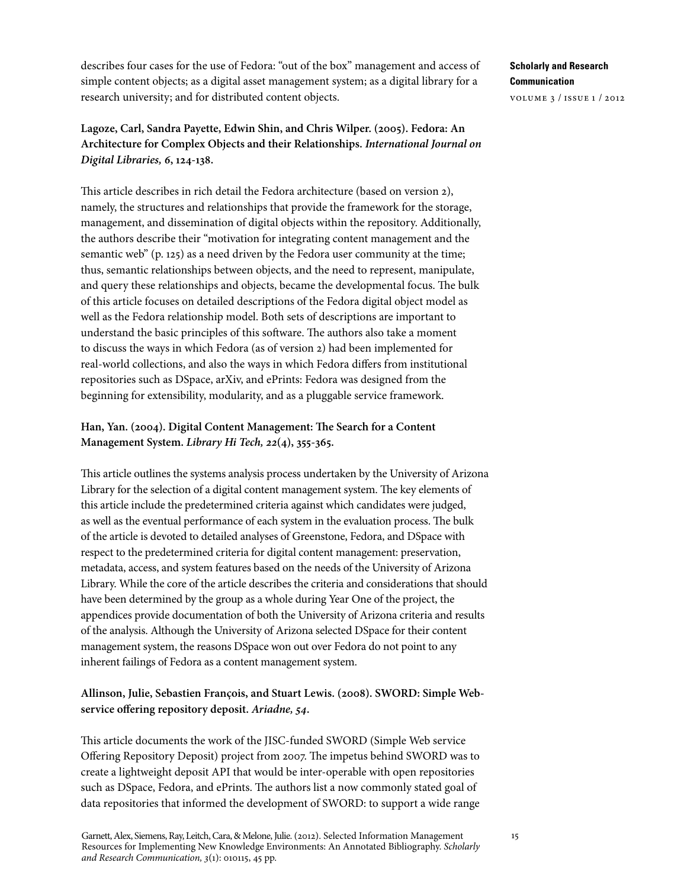describes four cases for the use of Fedora: "out of the box" management and access of simple content objects; as a digital asset management system; as a digital library for a research university; and for distributed content objects.

# **Lagoze, Carl, Sandra Payette, Edwin Shin, and Chris Wilper. (2005). Fedora: An Architecture for Complex Objects and their Relationships.** *International Journal on Digital Libraries, 6***, 124-138.**

This article describes in rich detail the Fedora architecture (based on version 2), namely, the structures and relationships that provide the framework for the storage, management, and dissemination of digital objects within the repository. Additionally, the authors describe their "motivation for integrating content management and the semantic web" (p. 125) as a need driven by the Fedora user community at the time; thus, semantic relationships between objects, and the need to represent, manipulate, and query these relationships and objects, became the developmental focus. The bulk of this article focuses on detailed descriptions of the Fedora digital object model as well as the Fedora relationship model. Both sets of descriptions are important to understand the basic principles of this software. The authors also take a moment to discuss the ways in which Fedora (as of version 2) had been implemented for real-world collections, and also the ways in which Fedora differs from institutional repositories such as DSpace, arXiv, and ePrints: Fedora was designed from the beginning for extensibility, modularity, and as a pluggable service framework.

## **Han, Yan. (2004). Digital Content Management: The Search for a Content Management System.** *Library Hi Tech, 22***(4), 355-365.**

This article outlines the systems analysis process undertaken by the University of Arizona Library for the selection of a digital content management system. The key elements of this article include the predetermined criteria against which candidates were judged, as well as the eventual performance of each system in the evaluation process. The bulk of the article is devoted to detailed analyses of Greenstone, Fedora, and DSpace with respect to the predetermined criteria for digital content management: preservation, metadata, access, and system features based on the needs of the University of Arizona Library. While the core of the article describes the criteria and considerations that should have been determined by the group as a whole during Year One of the project, the appendices provide documentation of both the University of Arizona criteria and results of the analysis. Although the University of Arizona selected DSpace for their content management system, the reasons DSpace won out over Fedora do not point to any inherent failings of Fedora as a content management system.

# **Allinson, Julie, Sebastien François, and Stuart Lewis. (2008). SWORD: Simple Webservice offering repository deposit.** *Ariadne, 54***.**

This article documents the work of the JISC-funded SWORD (Simple Web service Offering Repository Deposit) project from 2007. The impetus behind SWORD was to create a lightweight deposit API that would be inter-operable with open repositories such as DSpace, Fedora, and ePrints. The authors list a now commonly stated goal of data repositories that informed the development of SWORD: to support a wide range

# **Scholarly and Research Communication**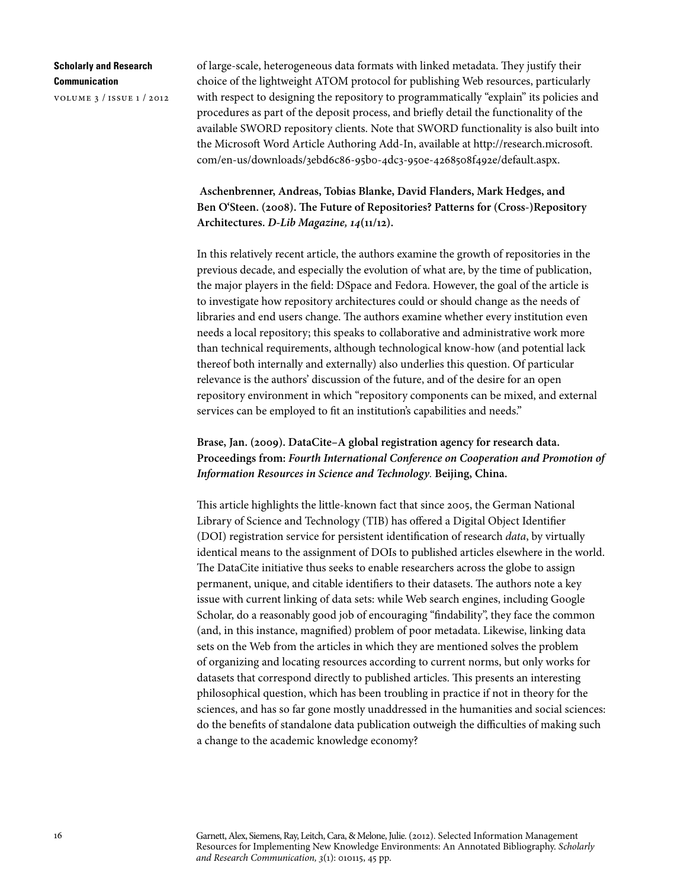volume 3 / issue 1 / 2012

of large-scale, heterogeneous data formats with linked metadata. They justify their choice of the lightweight ATOM protocol for publishing Web resources, particularly with respect to designing the repository to programmatically "explain" its policies and procedures as part of the deposit process, and briefly detail the functionality of the available SWORD repository clients. Note that SWORD functionality is also built into the Microsoft Word Article Authoring Add-In, available at http://research.microsoft. com/en-us/downloads/3ebd6c86-95b0-4dc3-950e-4268508f492e/default.aspx.

 **Aschenbrenner, Andreas, Tobias Blanke, David Flanders, Mark Hedges, and Ben O'Steen. (2008). The Future of Repositories? Patterns for (Cross-)Repository Architectures.** *D-Lib Magazine, 14***(11/12).** 

In this relatively recent article, the authors examine the growth of repositories in the previous decade, and especially the evolution of what are, by the time of publication, the major players in the field: DSpace and Fedora. However, the goal of the article is to investigate how repository architectures could or should change as the needs of libraries and end users change. The authors examine whether every institution even needs a local repository; this speaks to collaborative and administrative work more than technical requirements, although technological know-how (and potential lack thereof both internally and externally) also underlies this question. Of particular relevance is the authors' discussion of the future, and of the desire for an open repository environment in which "repository components can be mixed, and external services can be employed to fit an institution's capabilities and needs."

# **Brase, Jan. (2009). DataCite–A global registration agency for research data. Proceedings from:** *Fourth International Conference on Cooperation and Promotion of Information Resources in Science and Technology.* **Beijing, China.**

This article highlights the little-known fact that since 2005, the German National Library of Science and Technology (TIB) has offered a Digital Object Identifier (DOI) registration service for persistent identification of research *data*, by virtually identical means to the assignment of DOIs to published articles elsewhere in the world. The DataCite initiative thus seeks to enable researchers across the globe to assign permanent, unique, and citable identifiers to their datasets. The authors note a key issue with current linking of data sets: while Web search engines, including Google Scholar, do a reasonably good job of encouraging "findability", they face the common (and, in this instance, magnified) problem of poor metadata. Likewise, linking data sets on the Web from the articles in which they are mentioned solves the problem of organizing and locating resources according to current norms, but only works for datasets that correspond directly to published articles. This presents an interesting philosophical question, which has been troubling in practice if not in theory for the sciences, and has so far gone mostly unaddressed in the humanities and social sciences: do the benefits of standalone data publication outweigh the difficulties of making such a change to the academic knowledge economy?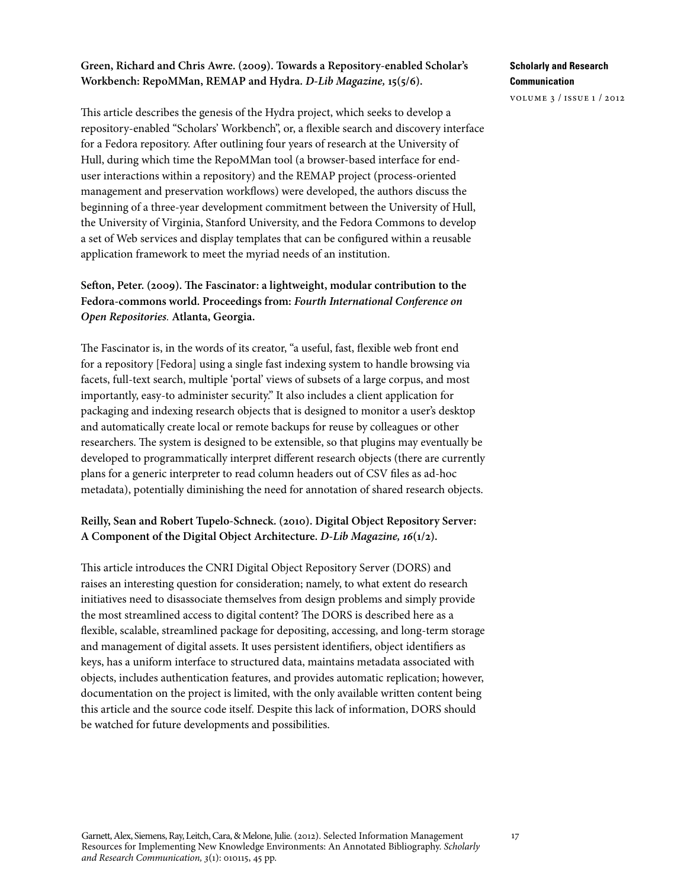### **Green, Richard and Chris Awre. (2009). Towards a Repository-enabled Scholar's Workbench: RepoMMan, REMAP and Hydra.** *D-Lib Magazine,* **15(5/6).**

This article describes the genesis of the Hydra project, which seeks to develop a repository-enabled "Scholars' Workbench", or, a flexible search and discovery interface for a Fedora repository. After outlining four years of research at the University of Hull, during which time the RepoMMan tool (a browser-based interface for enduser interactions within a repository) and the REMAP project (process-oriented management and preservation workflows) were developed, the authors discuss the beginning of a three-year development commitment between the University of Hull, the University of Virginia, Stanford University, and the Fedora Commons to develop a set of Web services and display templates that can be configured within a reusable application framework to meet the myriad needs of an institution.

## **Sefton, Peter. (2009). The Fascinator: a lightweight, modular contribution to the Fedora-commons world. Proceedings from:** *Fourth International Conference on Open Repositories.* **Atlanta, Georgia.**

The Fascinator is, in the words of its creator, "a useful, fast, flexible web front end for a repository [Fedora] using a single fast indexing system to handle browsing via facets, full-text search, multiple 'portal' views of subsets of a large corpus, and most importantly, easy-to administer security." It also includes a client application for packaging and indexing research objects that is designed to monitor a user's desktop and automatically create local or remote backups for reuse by colleagues or other researchers. The system is designed to be extensible, so that plugins may eventually be developed to programmatically interpret different research objects (there are currently plans for a generic interpreter to read column headers out of CSV files as ad-hoc metadata), potentially diminishing the need for annotation of shared research objects.

## **Reilly, Sean and Robert Tupelo-Schneck. (2010). Digital Object Repository Server: A Component of the Digital Object Architecture.** *D-Lib Magazine, 16***(1/2).**

This article introduces the CNRI Digital Object Repository Server (DORS) and raises an interesting question for consideration; namely, to what extent do research initiatives need to disassociate themselves from design problems and simply provide the most streamlined access to digital content? The DORS is described here as a flexible, scalable, streamlined package for depositing, accessing, and long-term storage and management of digital assets. It uses persistent identifiers, object identifiers as keys, has a uniform interface to structured data, maintains metadata associated with objects, includes authentication features, and provides automatic replication; however, documentation on the project is limited, with the only available written content being this article and the source code itself. Despite this lack of information, DORS should be watched for future developments and possibilities.

### **Scholarly and Research Communication**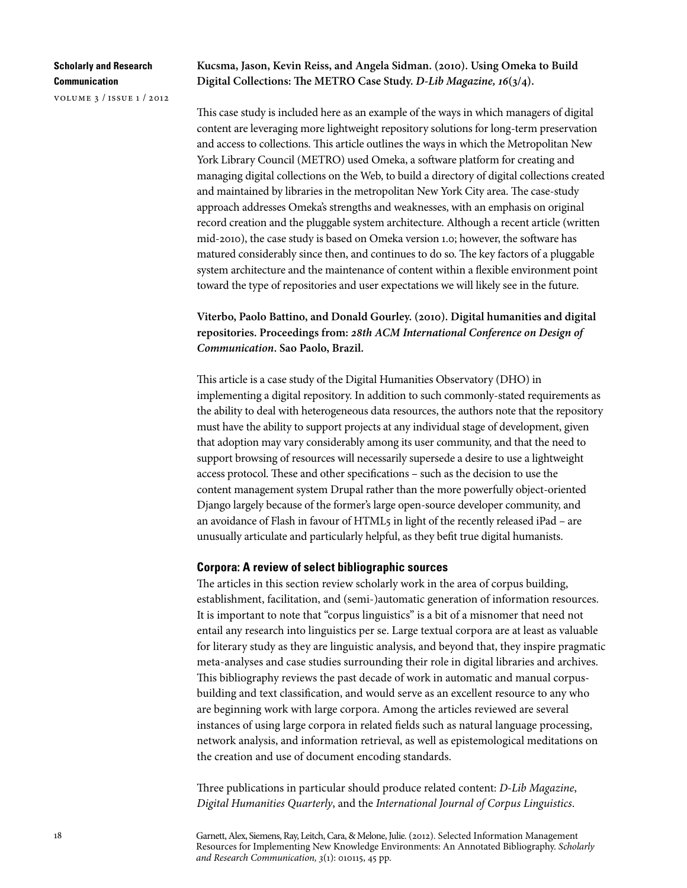volume 3 / issue 1 / 2012

### **Kucsma, Jason, Kevin Reiss, and Angela Sidman. (2010). Using Omeka to Build Digital Collections: The METRO Case Study.** *D-Lib Magazine, 16***(3/4).**

This case study is included here as an example of the ways in which managers of digital content are leveraging more lightweight repository solutions for long-term preservation and access to collections. This article outlines the ways in which the Metropolitan New York Library Council (METRO) used Omeka, a software platform for creating and managing digital collections on the Web, to build a directory of digital collections created and maintained by libraries in the metropolitan New York City area. The case-study approach addresses Omeka's strengths and weaknesses, with an emphasis on original record creation and the pluggable system architecture. Although a recent article (written mid-2010), the case study is based on Omeka version 1.0; however, the software has matured considerably since then, and continues to do so. The key factors of a pluggable system architecture and the maintenance of content within a flexible environment point toward the type of repositories and user expectations we will likely see in the future.

**Viterbo, Paolo Battino, and Donald Gourley. (2010). Digital humanities and digital repositories. Proceedings from:** *28th ACM International Conference on Design of Communication***. Sao Paolo, Brazil.**

This article is a case study of the Digital Humanities Observatory (DHO) in implementing a digital repository. In addition to such commonly-stated requirements as the ability to deal with heterogeneous data resources, the authors note that the repository must have the ability to support projects at any individual stage of development, given that adoption may vary considerably among its user community, and that the need to support browsing of resources will necessarily supersede a desire to use a lightweight access protocol. These and other specifications – such as the decision to use the content management system Drupal rather than the more powerfully object-oriented Django largely because of the former's large open-source developer community, and an avoidance of Flash in favour of HTML5 in light of the recently released iPad – are unusually articulate and particularly helpful, as they befit true digital humanists.

#### **Corpora: A review of select bibliographic sources**

The articles in this section review scholarly work in the area of corpus building, establishment, facilitation, and (semi-)automatic generation of information resources. It is important to note that "corpus linguistics" is a bit of a misnomer that need not entail any research into linguistics per se. Large textual corpora are at least as valuable for literary study as they are linguistic analysis, and beyond that, they inspire pragmatic meta-analyses and case studies surrounding their role in digital libraries and archives. This bibliography reviews the past decade of work in automatic and manual corpusbuilding and text classification, and would serve as an excellent resource to any who are beginning work with large corpora. Among the articles reviewed are several instances of using large corpora in related fields such as natural language processing, network analysis, and information retrieval, as well as epistemological meditations on the creation and use of document encoding standards.

Three publications in particular should produce related content: *D-Lib Magazine*, *Digital Humanities Quarterly*, and the *International Journal of Corpus Linguistics*.

Garnett, Alex, Siemens, Ray, Leitch, Cara, & Melone, Julie. (2012). Selected Information Management Resources for Implementing New Knowledge Environments: An Annotated Bibliography. *Scholarly and Research Communication, 3*(1): 010115, 45 pp.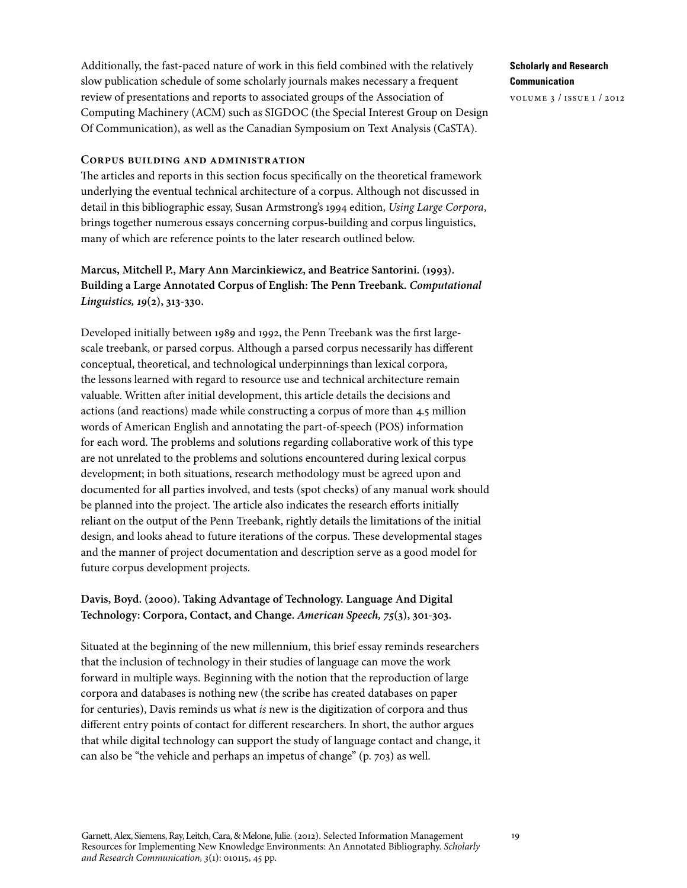Additionally, the fast-paced nature of work in this field combined with the relatively slow publication schedule of some scholarly journals makes necessary a frequent review of presentations and reports to associated groups of the Association of Computing Machinery (ACM) such as SIGDOC (the Special Interest Group on Design Of Communication), as well as the Canadian Symposium on Text Analysis (CaSTA).

#### **Corpus building and administration**

The articles and reports in this section focus specifically on the theoretical framework underlying the eventual technical architecture of a corpus. Although not discussed in detail in this bibliographic essay, Susan Armstrong's 1994 edition, *Using Large Corpora*, brings together numerous essays concerning corpus-building and corpus linguistics, many of which are reference points to the later research outlined below.

# **Marcus, Mitchell P., Mary Ann Marcinkiewicz, and Beatrice Santorini. (1993). Building a Large Annotated Corpus of English: The Penn Treebank.** *Computational Linguistics, 19***(2), 313-330.**

Developed initially between 1989 and 1992, the Penn Treebank was the first largescale treebank, or parsed corpus. Although a parsed corpus necessarily has different conceptual, theoretical, and technological underpinnings than lexical corpora, the lessons learned with regard to resource use and technical architecture remain valuable. Written after initial development, this article details the decisions and actions (and reactions) made while constructing a corpus of more than 4.5 million words of American English and annotating the part-of-speech (POS) information for each word. The problems and solutions regarding collaborative work of this type are not unrelated to the problems and solutions encountered during lexical corpus development; in both situations, research methodology must be agreed upon and documented for all parties involved, and tests (spot checks) of any manual work should be planned into the project. The article also indicates the research efforts initially reliant on the output of the Penn Treebank, rightly details the limitations of the initial design, and looks ahead to future iterations of the corpus. These developmental stages and the manner of project documentation and description serve as a good model for future corpus development projects.

## **Davis, Boyd. (2000). Taking Advantage of Technology. Language And Digital Technology: Corpora, Contact, and Change.** *American Speech, 75***(3), 301-303.**

Situated at the beginning of the new millennium, this brief essay reminds researchers that the inclusion of technology in their studies of language can move the work forward in multiple ways. Beginning with the notion that the reproduction of large corpora and databases is nothing new (the scribe has created databases on paper for centuries), Davis reminds us what *is* new is the digitization of corpora and thus different entry points of contact for different researchers. In short, the author argues that while digital technology can support the study of language contact and change, it can also be "the vehicle and perhaps an impetus of change" (p. 703) as well.

**Scholarly and Research Communication**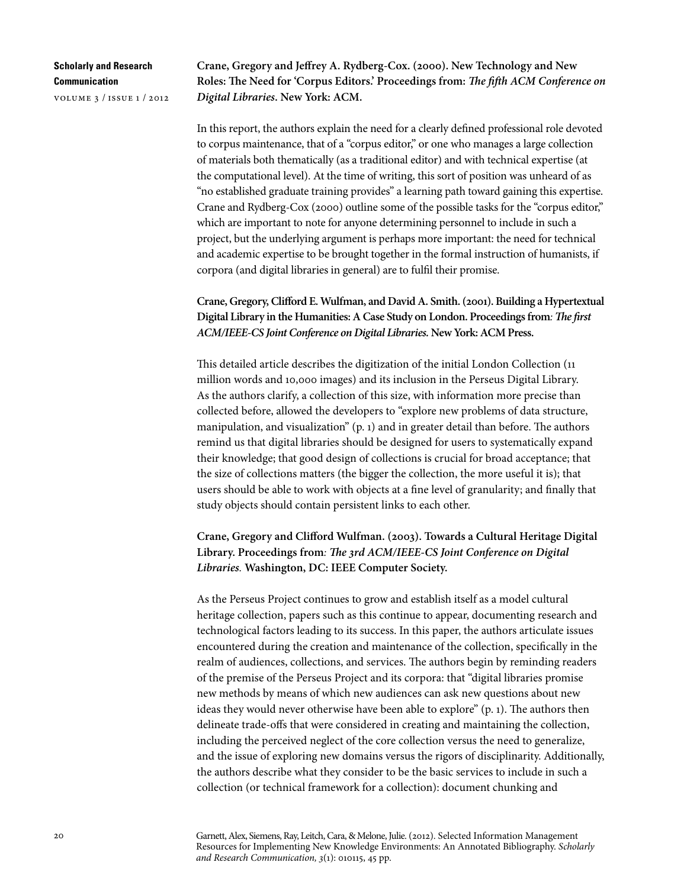volume 3 / issue 1 / 2012

**Crane, Gregory and Jeffrey A. Rydberg-Cox. (2000). New Technology and New Roles: The Need for 'Corpus Editors.' Proceedings from:** *The fifth ACM Conference on Digital Libraries***. New York: ACM.** 

In this report, the authors explain the need for a clearly defined professional role devoted to corpus maintenance, that of a "corpus editor," or one who manages a large collection of materials both thematically (as a traditional editor) and with technical expertise (at the computational level). At the time of writing, this sort of position was unheard of as "no established graduate training provides" a learning path toward gaining this expertise. Crane and Rydberg-Cox (2000) outline some of the possible tasks for the "corpus editor," which are important to note for anyone determining personnel to include in such a project, but the underlying argument is perhaps more important: the need for technical and academic expertise to be brought together in the formal instruction of humanists, if corpora (and digital libraries in general) are to fulfil their promise.

## **Crane, Gregory, Clifford E. Wulfman, and David A. Smith. (2001). Building a Hypertextual Digital Library in the Humanities: A Case Study on London. Proceedings from***: The first ACM/IEEE-CS Joint Conference on Digital Libraries.* **New York: ACM Press.**

This detailed article describes the digitization of the initial London Collection (11 million words and 10,000 images) and its inclusion in the Perseus Digital Library. As the authors clarify, a collection of this size, with information more precise than collected before, allowed the developers to "explore new problems of data structure, manipulation, and visualization" (p. 1) and in greater detail than before. The authors remind us that digital libraries should be designed for users to systematically expand their knowledge; that good design of collections is crucial for broad acceptance; that the size of collections matters (the bigger the collection, the more useful it is); that users should be able to work with objects at a fine level of granularity; and finally that study objects should contain persistent links to each other.

**Crane, Gregory and Clifford Wulfman. (2003). Towards a Cultural Heritage Digital Library. Proceedings from***: The 3rd ACM/IEEE-CS Joint Conference on Digital Libraries.* **Washington, DC: IEEE Computer Society.**

As the Perseus Project continues to grow and establish itself as a model cultural heritage collection, papers such as this continue to appear, documenting research and technological factors leading to its success. In this paper, the authors articulate issues encountered during the creation and maintenance of the collection, specifically in the realm of audiences, collections, and services. The authors begin by reminding readers of the premise of the Perseus Project and its corpora: that "digital libraries promise new methods by means of which new audiences can ask new questions about new ideas they would never otherwise have been able to explore" (p. 1). The authors then delineate trade-offs that were considered in creating and maintaining the collection, including the perceived neglect of the core collection versus the need to generalize, and the issue of exploring new domains versus the rigors of disciplinarity. Additionally, the authors describe what they consider to be the basic services to include in such a collection (or technical framework for a collection): document chunking and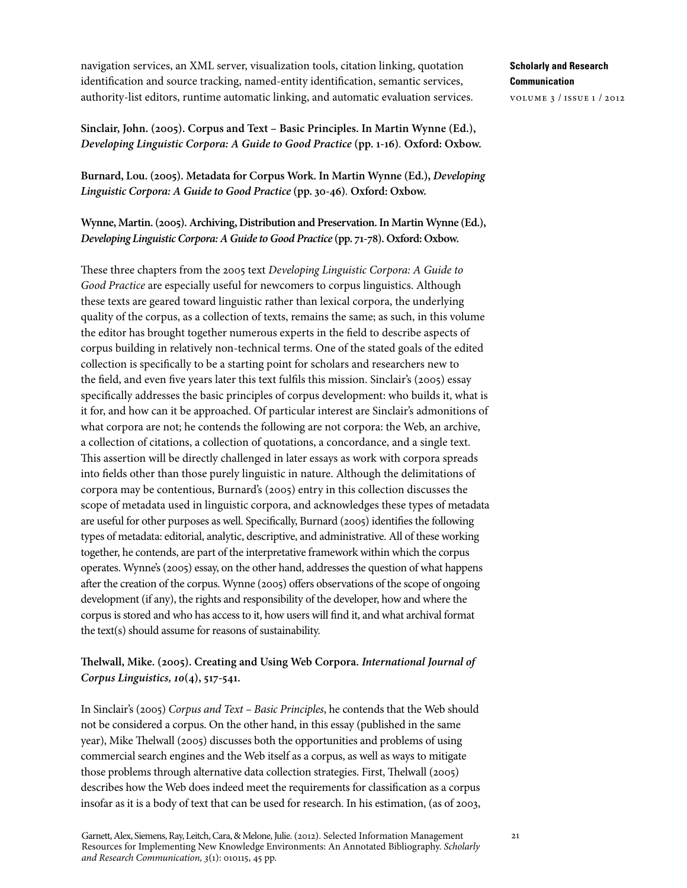navigation services, an XML server, visualization tools, citation linking, quotation identification and source tracking, named-entity identification, semantic services, authority-list editors, runtime automatic linking, and automatic evaluation services.

**Sinclair, John. (2005). Corpus and Text – Basic Principles. In Martin Wynne (Ed.),**  *Developing Linguistic Corpora: A Guide to Good Practice* **(pp. 1-16)***.* **Oxford: Oxbow.** 

**Burnard, Lou. (2005). Metadata for Corpus Work. In Martin Wynne (Ed.),** *Developing Linguistic Corpora: A Guide to Good Practice* **(pp. 30-46)***.* **Oxford: Oxbow.**

**Wynne, Martin. (2005). Archiving, Distribution and Preservation. In Martin Wynne (Ed.),**  *Developing Linguistic Corpora: A Guide to Good Practice* **(pp. 71-78). Oxford: Oxbow.**

These three chapters from the 2005 text *Developing Linguistic Corpora: A Guide to Good Practice* are especially useful for newcomers to corpus linguistics. Although these texts are geared toward linguistic rather than lexical corpora, the underlying quality of the corpus, as a collection of texts, remains the same; as such, in this volume the editor has brought together numerous experts in the field to describe aspects of corpus building in relatively non-technical terms. One of the stated goals of the edited collection is specifically to be a starting point for scholars and researchers new to the field, and even five years later this text fulfils this mission. Sinclair's (2005) essay specifically addresses the basic principles of corpus development: who builds it, what is it for, and how can it be approached. Of particular interest are Sinclair's admonitions of what corpora are not; he contends the following are not corpora: the Web, an archive, a collection of citations, a collection of quotations, a concordance, and a single text. This assertion will be directly challenged in later essays as work with corpora spreads into fields other than those purely linguistic in nature. Although the delimitations of corpora may be contentious, Burnard's (2005) entry in this collection discusses the scope of metadata used in linguistic corpora, and acknowledges these types of metadata are useful for other purposes as well. Specifically, Burnard (2005) identifies the following types of metadata: editorial, analytic, descriptive, and administrative. All of these working together, he contends, are part of the interpretative framework within which the corpus operates. Wynne's (2005) essay, on the other hand, addresses the question of what happens after the creation of the corpus. Wynne (2005) offers observations of the scope of ongoing development (if any), the rights and responsibility of the developer, how and where the corpus is stored and who has access to it, how users will find it, and what archival format the text(s) should assume for reasons of sustainability.

## **Thelwall, Mike. (2005). Creating and Using Web Corpora.** *International Journal of Corpus Linguistics, 10***(4), 517-541.**

In Sinclair's (2005) *Corpus and Text – Basic Principles*, he contends that the Web should not be considered a corpus. On the other hand, in this essay (published in the same year), Mike Thelwall (2005) discusses both the opportunities and problems of using commercial search engines and the Web itself as a corpus, as well as ways to mitigate those problems through alternative data collection strategies. First, Thelwall (2005) describes how the Web does indeed meet the requirements for classification as a corpus insofar as it is a body of text that can be used for research. In his estimation, (as of 2003,

Garnett, Alex, Siemens, Ray, Leitch, Cara, & Melone, Julie. (2012). Selected Information Management Resources for Implementing New Knowledge Environments: An Annotated Bibliography. *Scholarly and Research Communication, 3*(1): 010115, 45 pp.

**Scholarly and Research Communication** volume 3 / issue 1 / 2012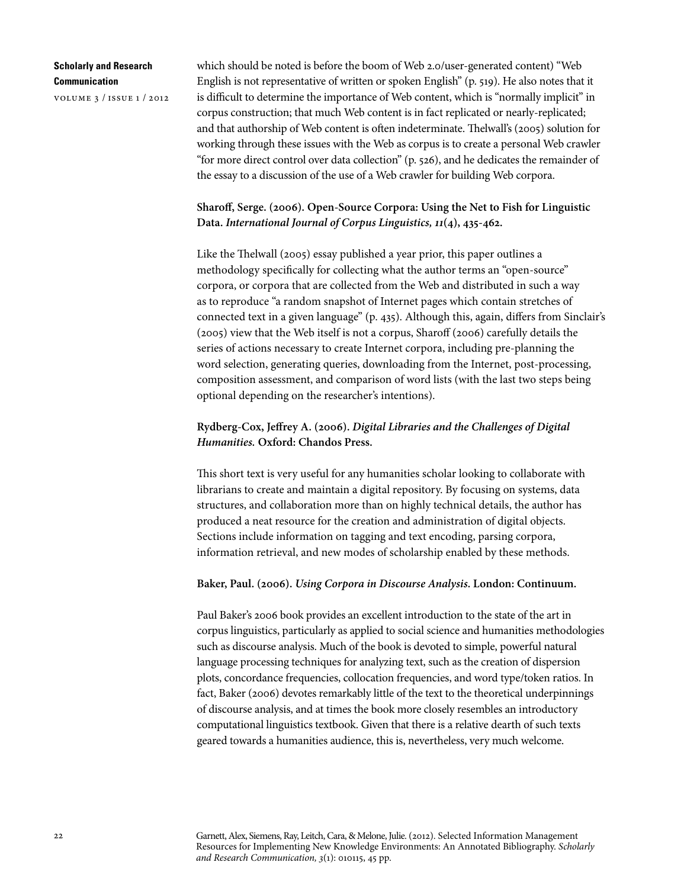volume 3 / issue 1 / 2012

which should be noted is before the boom of Web 2.0/user-generated content) "Web English is not representative of written or spoken English" (p. 519). He also notes that it is difficult to determine the importance of Web content, which is "normally implicit" in corpus construction; that much Web content is in fact replicated or nearly-replicated; and that authorship of Web content is often indeterminate. Thelwall's (2005) solution for working through these issues with the Web as corpus is to create a personal Web crawler "for more direct control over data collection" (p. 526), and he dedicates the remainder of the essay to a discussion of the use of a Web crawler for building Web corpora.

## **Sharoff, Serge. (2006). Open-Source Corpora: Using the Net to Fish for Linguistic Data.** *International Journal of Corpus Linguistics, 11***(4), 435-462.**

Like the Thelwall (2005) essay published a year prior, this paper outlines a methodology specifically for collecting what the author terms an "open-source" corpora, or corpora that are collected from the Web and distributed in such a way as to reproduce "a random snapshot of Internet pages which contain stretches of connected text in a given language" (p. 435). Although this, again, differs from Sinclair's (2005) view that the Web itself is not a corpus, Sharoff (2006) carefully details the series of actions necessary to create Internet corpora, including pre-planning the word selection, generating queries, downloading from the Internet, post-processing, composition assessment, and comparison of word lists (with the last two steps being optional depending on the researcher's intentions).

## **Rydberg-Cox, Jeffrey A. (2006).** *Digital Libraries and the Challenges of Digital Humanities.* **Oxford: Chandos Press.**

This short text is very useful for any humanities scholar looking to collaborate with librarians to create and maintain a digital repository. By focusing on systems, data structures, and collaboration more than on highly technical details, the author has produced a neat resource for the creation and administration of digital objects. Sections include information on tagging and text encoding, parsing corpora, information retrieval, and new modes of scholarship enabled by these methods.

#### **Baker, Paul. (2006).** *Using Corpora in Discourse Analysis***. London: Continuum.**

Paul Baker's 2006 book provides an excellent introduction to the state of the art in corpus linguistics, particularly as applied to social science and humanities methodologies such as discourse analysis. Much of the book is devoted to simple, powerful natural language processing techniques for analyzing text, such as the creation of dispersion plots, concordance frequencies, collocation frequencies, and word type/token ratios. In fact, Baker (2006) devotes remarkably little of the text to the theoretical underpinnings of discourse analysis, and at times the book more closely resembles an introductory computational linguistics textbook. Given that there is a relative dearth of such texts geared towards a humanities audience, this is, nevertheless, very much welcome.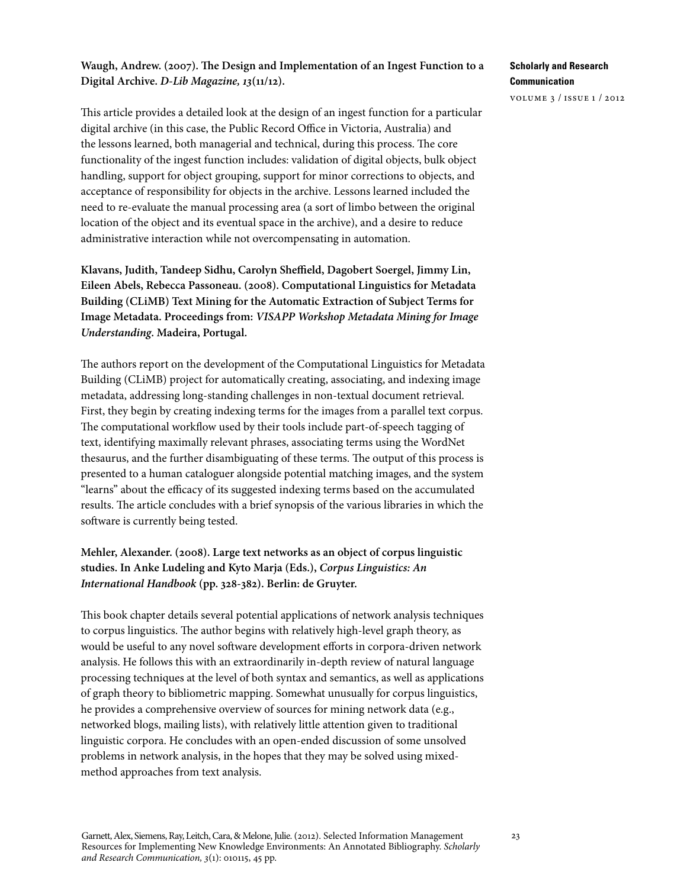## **Waugh, Andrew. (2007). The Design and Implementation of an Ingest Function to a Digital Archive.** *D-Lib Magazine, 13***(11/12).**

This article provides a detailed look at the design of an ingest function for a particular digital archive (in this case, the Public Record Office in Victoria, Australia) and the lessons learned, both managerial and technical, during this process. The core functionality of the ingest function includes: validation of digital objects, bulk object handling, support for object grouping, support for minor corrections to objects, and acceptance of responsibility for objects in the archive. Lessons learned included the need to re-evaluate the manual processing area (a sort of limbo between the original location of the object and its eventual space in the archive), and a desire to reduce administrative interaction while not overcompensating in automation.

**Klavans, Judith, Tandeep Sidhu, Carolyn Sheffield, Dagobert Soergel, Jimmy Lin, Eileen Abels, Rebecca Passoneau. (2008). Computational Linguistics for Metadata Building (CLiMB) Text Mining for the Automatic Extraction of Subject Terms for Image Metadata. Proceedings from:** *VISAPP Workshop Metadata Mining for Image Understanding***. Madeira, Portugal.**

The authors report on the development of the Computational Linguistics for Metadata Building (CLiMB) project for automatically creating, associating, and indexing image metadata, addressing long-standing challenges in non-textual document retrieval. First, they begin by creating indexing terms for the images from a parallel text corpus. The computational workflow used by their tools include part-of-speech tagging of text, identifying maximally relevant phrases, associating terms using the WordNet thesaurus, and the further disambiguating of these terms. The output of this process is presented to a human cataloguer alongside potential matching images, and the system "learns" about the efficacy of its suggested indexing terms based on the accumulated results. The article concludes with a brief synopsis of the various libraries in which the software is currently being tested.

# **Mehler, Alexander. (2008). Large text networks as an object of corpus linguistic studies. In Anke Ludeling and Kyto Marja (Eds.),** *Corpus Linguistics: An International Handbook* **(pp. 328-382). Berlin: de Gruyter.**

This book chapter details several potential applications of network analysis techniques to corpus linguistics. The author begins with relatively high-level graph theory, as would be useful to any novel software development efforts in corpora-driven network analysis. He follows this with an extraordinarily in-depth review of natural language processing techniques at the level of both syntax and semantics, as well as applications of graph theory to bibliometric mapping. Somewhat unusually for corpus linguistics, he provides a comprehensive overview of sources for mining network data (e.g., networked blogs, mailing lists), with relatively little attention given to traditional linguistic corpora. He concludes with an open-ended discussion of some unsolved problems in network analysis, in the hopes that they may be solved using mixedmethod approaches from text analysis.

## **Scholarly and Research Communication**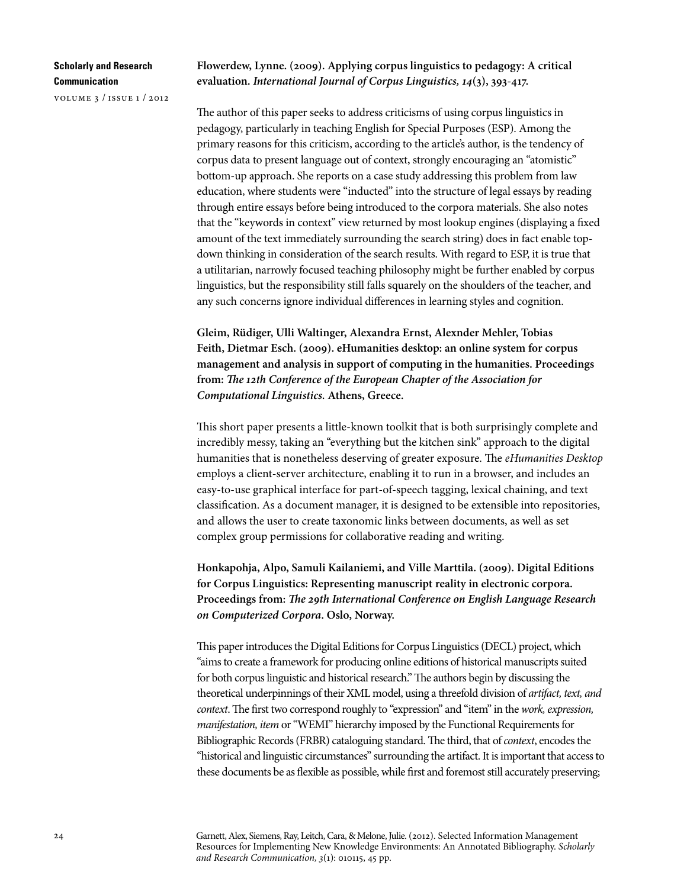volume 3 / issue 1 / 2012

#### **Flowerdew, Lynne. (2009). Applying corpus linguistics to pedagogy: A critical evaluation.** *International Journal of Corpus Linguistics, 14***(3), 393-417.**

The author of this paper seeks to address criticisms of using corpus linguistics in pedagogy, particularly in teaching English for Special Purposes (ESP). Among the primary reasons for this criticism, according to the article's author, is the tendency of corpus data to present language out of context, strongly encouraging an "atomistic" bottom-up approach. She reports on a case study addressing this problem from law education, where students were "inducted" into the structure of legal essays by reading through entire essays before being introduced to the corpora materials. She also notes that the "keywords in context" view returned by most lookup engines (displaying a fixed amount of the text immediately surrounding the search string) does in fact enable topdown thinking in consideration of the search results. With regard to ESP, it is true that a utilitarian, narrowly focused teaching philosophy might be further enabled by corpus linguistics, but the responsibility still falls squarely on the shoulders of the teacher, and any such concerns ignore individual differences in learning styles and cognition.

**Gleim, Rüdiger, Ulli Waltinger, Alexandra Ernst, Alexnder Mehler, Tobias Feith, Dietmar Esch. (2009). eHumanities desktop: an online system for corpus management and analysis in support of computing in the humanities. Proceedings from:** *The 12th Conference of the European Chapter of the Association for Computational Linguistics.* **Athens, Greece.**

This short paper presents a little-known toolkit that is both surprisingly complete and incredibly messy, taking an "everything but the kitchen sink" approach to the digital humanities that is nonetheless deserving of greater exposure. The *eHumanities Desktop* employs a client-server architecture, enabling it to run in a browser, and includes an easy-to-use graphical interface for part-of-speech tagging, lexical chaining, and text classification. As a document manager, it is designed to be extensible into repositories, and allows the user to create taxonomic links between documents, as well as set complex group permissions for collaborative reading and writing.

**Honkapohja, Alpo, Samuli Kailaniemi, and Ville Marttila. (2009). Digital Editions for Corpus Linguistics: Representing manuscript reality in electronic corpora. Proceedings from:** *The 29th International Conference on English Language Research on Computerized Corpora***. Oslo, Norway.**

This paper introduces the Digital Editions for Corpus Linguistics (DECL) project, which "aims to create a framework for producing online editions of historical manuscripts suited for both corpus linguistic and historical research." The authors begin by discussing the theoretical underpinnings of their XML model, using a threefold division of *artifact, text, and context*. The first two correspond roughly to "expression" and "item" in the *work, expression, manifestation, item* or "WEMI" hierarchy imposed by the Functional Requirements for Bibliographic Records (FRBR) cataloguing standard. The third, that of *context*, encodes the "historical and linguistic circumstances" surrounding the artifact. It is important that access to these documents be as flexible as possible, while first and foremost still accurately preserving;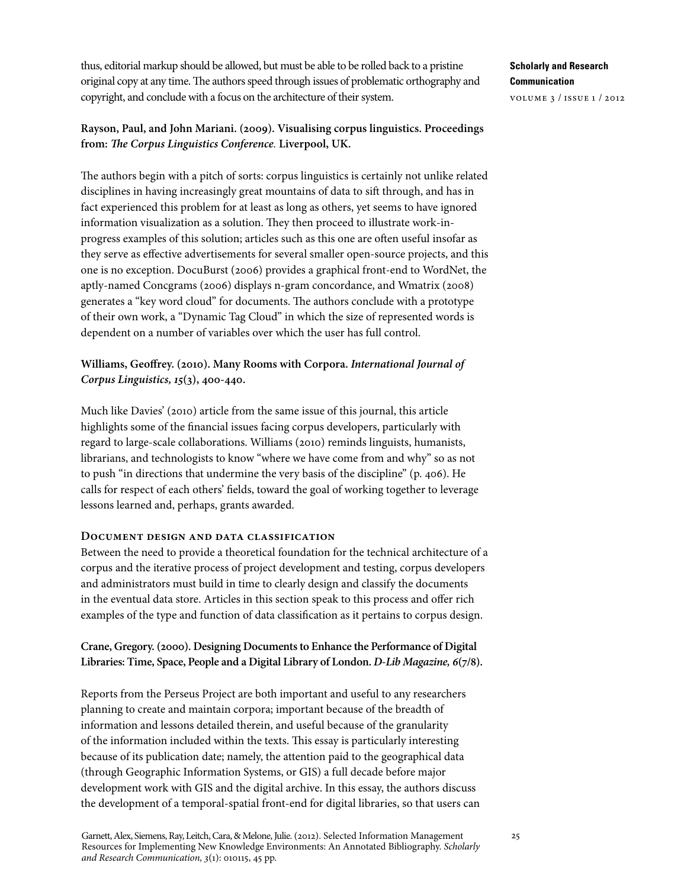thus, editorial markup should be allowed, but must be able to be rolled back to a pristine original copy at any time. The authors speed through issues of problematic orthography and copyright, and conclude with a focus on the architecture of their system.

## **Rayson, Paul, and John Mariani. (2009). Visualising corpus linguistics. Proceedings from:** *The Corpus Linguistics Conference.* **Liverpool, UK.**

The authors begin with a pitch of sorts: corpus linguistics is certainly not unlike related disciplines in having increasingly great mountains of data to sift through, and has in fact experienced this problem for at least as long as others, yet seems to have ignored information visualization as a solution. They then proceed to illustrate work-inprogress examples of this solution; articles such as this one are often useful insofar as they serve as effective advertisements for several smaller open-source projects, and this one is no exception. DocuBurst (2006) provides a graphical front-end to WordNet, the aptly-named Concgrams (2006) displays n-gram concordance, and Wmatrix (2008) generates a "key word cloud" for documents. The authors conclude with a prototype of their own work, a "Dynamic Tag Cloud" in which the size of represented words is dependent on a number of variables over which the user has full control.

# **Williams, Geoffrey. (2010). Many Rooms with Corpora.** *International Journal of Corpus Linguistics, 15***(3), 400-440.**

Much like Davies' (2010) article from the same issue of this journal, this article highlights some of the financial issues facing corpus developers, particularly with regard to large-scale collaborations. Williams (2010) reminds linguists, humanists, librarians, and technologists to know "where we have come from and why" so as not to push "in directions that undermine the very basis of the discipline" (p. 406). He calls for respect of each others' fields, toward the goal of working together to leverage lessons learned and, perhaps, grants awarded.

### **Document design and data classification**

Between the need to provide a theoretical foundation for the technical architecture of a corpus and the iterative process of project development and testing, corpus developers and administrators must build in time to clearly design and classify the documents in the eventual data store. Articles in this section speak to this process and offer rich examples of the type and function of data classification as it pertains to corpus design.

## **Crane, Gregory. (2000). Designing Documents to Enhance the Performance of Digital Libraries: Time, Space, People and a Digital Library of London.** *D-Lib Magazine, 6***(7/8).**

Reports from the Perseus Project are both important and useful to any researchers planning to create and maintain corpora; important because of the breadth of information and lessons detailed therein, and useful because of the granularity of the information included within the texts. This essay is particularly interesting because of its publication date; namely, the attention paid to the geographical data (through Geographic Information Systems, or GIS) a full decade before major development work with GIS and the digital archive. In this essay, the authors discuss the development of a temporal-spatial front-end for digital libraries, so that users can

# **Scholarly and Research Communication**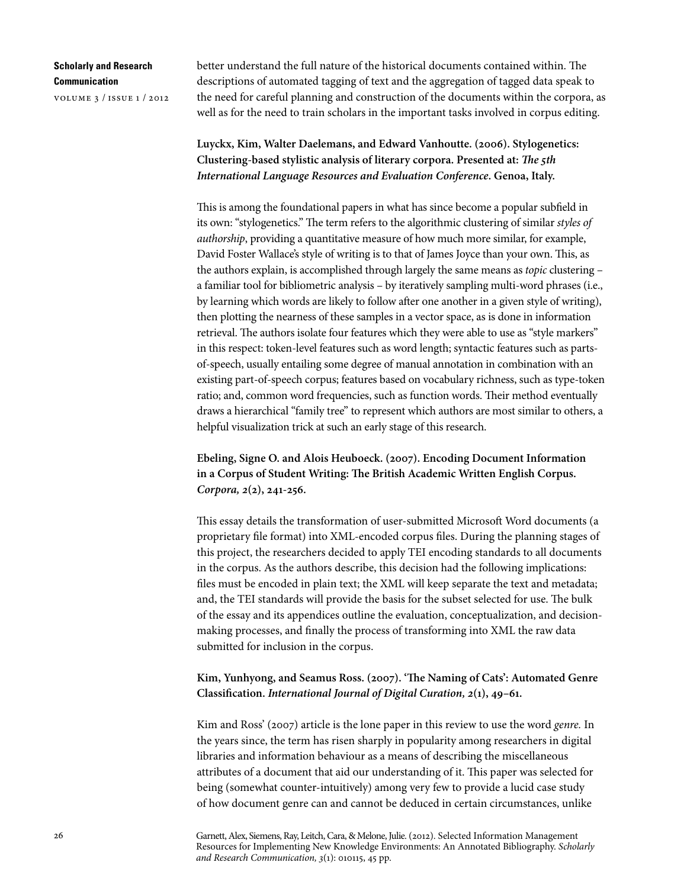volume 3 / issue 1 / 2012

better understand the full nature of the historical documents contained within. The descriptions of automated tagging of text and the aggregation of tagged data speak to the need for careful planning and construction of the documents within the corpora, as well as for the need to train scholars in the important tasks involved in corpus editing.

**Luyckx, Kim, Walter Daelemans, and Edward Vanhoutte. (2006). Stylogenetics: Clustering-based stylistic analysis of literary corpora. Presented at:** *The 5th International Language Resources and Evaluation Conference***. Genoa, Italy.**

This is among the foundational papers in what has since become a popular subfield in its own: "stylogenetics." The term refers to the algorithmic clustering of similar *styles of authorship*, providing a quantitative measure of how much more similar, for example, David Foster Wallace's style of writing is to that of James Joyce than your own. This, as the authors explain, is accomplished through largely the same means as *topic* clustering – a familiar tool for bibliometric analysis – by iteratively sampling multi-word phrases (i.e., by learning which words are likely to follow after one another in a given style of writing), then plotting the nearness of these samples in a vector space, as is done in information retrieval. The authors isolate four features which they were able to use as "style markers" in this respect: token-level features such as word length; syntactic features such as partsof-speech, usually entailing some degree of manual annotation in combination with an existing part-of-speech corpus; features based on vocabulary richness, such as type-token ratio; and, common word frequencies, such as function words. Their method eventually draws a hierarchical "family tree" to represent which authors are most similar to others, a helpful visualization trick at such an early stage of this research.

**Ebeling, Signe O. and Alois Heuboeck. (2007). Encoding Document Information in a Corpus of Student Writing: The British Academic Written English Corpus.**  *Corpora, 2***(2), 241-256.**

This essay details the transformation of user-submitted Microsoft Word documents (a proprietary file format) into XML-encoded corpus files. During the planning stages of this project, the researchers decided to apply TEI encoding standards to all documents in the corpus. As the authors describe, this decision had the following implications: files must be encoded in plain text; the XML will keep separate the text and metadata; and, the TEI standards will provide the basis for the subset selected for use. The bulk of the essay and its appendices outline the evaluation, conceptualization, and decisionmaking processes, and finally the process of transforming into XML the raw data submitted for inclusion in the corpus.

## **Kim, Yunhyong, and Seamus Ross. (2007). 'The Naming of Cats': Automated Genre Classification.** *International Journal of Digital Curation, 2***(1), 49–61.**

Kim and Ross' (2007) article is the lone paper in this review to use the word *genre.* In the years since, the term has risen sharply in popularity among researchers in digital libraries and information behaviour as a means of describing the miscellaneous attributes of a document that aid our understanding of it. This paper was selected for being (somewhat counter-intuitively) among very few to provide a lucid case study of how document genre can and cannot be deduced in certain circumstances, unlike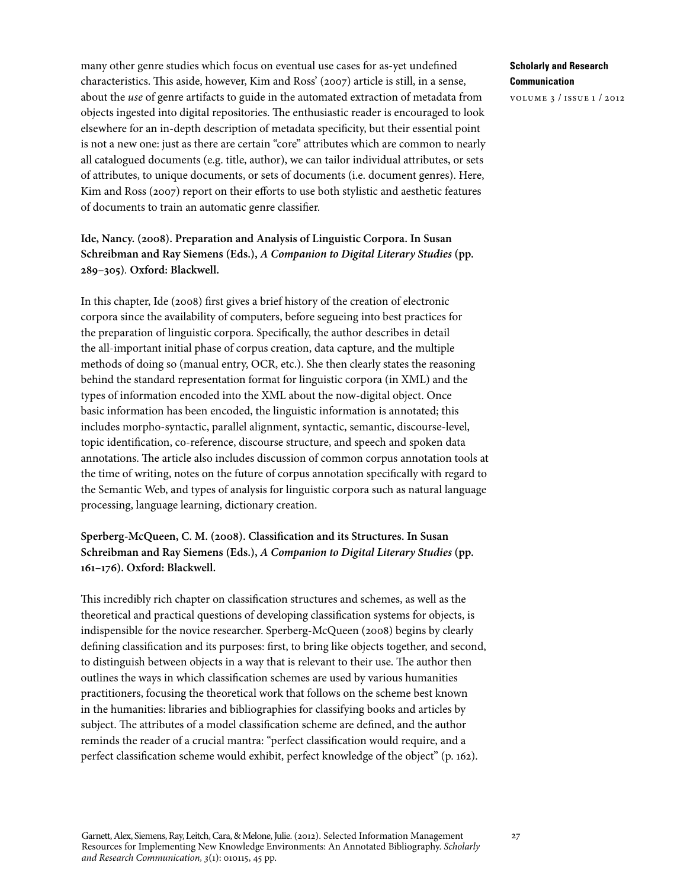many other genre studies which focus on eventual use cases for as-yet undefined characteristics. This aside, however, Kim and Ross' (2007) article is still, in a sense, about the *use* of genre artifacts to guide in the automated extraction of metadata from objects ingested into digital repositories. The enthusiastic reader is encouraged to look elsewhere for an in-depth description of metadata specificity, but their essential point is not a new one: just as there are certain "core" attributes which are common to nearly all catalogued documents (e.g. title, author), we can tailor individual attributes, or sets of attributes, to unique documents, or sets of documents (i.e. document genres). Here, Kim and Ross (2007) report on their efforts to use both stylistic and aesthetic features of documents to train an automatic genre classifier.

## **Ide, Nancy. (2008). Preparation and Analysis of Linguistic Corpora. In Susan Schreibman and Ray Siemens (Eds.),** *A Companion to Digital Literary Studies* **(pp. 289–305)***.* **Oxford: Blackwell.**

In this chapter, Ide (2008) first gives a brief history of the creation of electronic corpora since the availability of computers, before segueing into best practices for the preparation of linguistic corpora. Specifically, the author describes in detail the all-important initial phase of corpus creation, data capture, and the multiple methods of doing so (manual entry, OCR, etc.). She then clearly states the reasoning behind the standard representation format for linguistic corpora (in XML) and the types of information encoded into the XML about the now-digital object. Once basic information has been encoded, the linguistic information is annotated; this includes morpho-syntactic, parallel alignment, syntactic, semantic, discourse-level, topic identification, co-reference, discourse structure, and speech and spoken data annotations. The article also includes discussion of common corpus annotation tools at the time of writing, notes on the future of corpus annotation specifically with regard to the Semantic Web, and types of analysis for linguistic corpora such as natural language processing, language learning, dictionary creation.

## **Sperberg-McQueen, C. M. (2008). Classification and its Structures. In Susan Schreibman and Ray Siemens (Eds.),** *A Companion to Digital Literary Studies* **(pp. 161–176). Oxford: Blackwell.**

This incredibly rich chapter on classification structures and schemes, as well as the theoretical and practical questions of developing classification systems for objects, is indispensible for the novice researcher. Sperberg-McQueen (2008) begins by clearly defining classification and its purposes: first, to bring like objects together, and second, to distinguish between objects in a way that is relevant to their use. The author then outlines the ways in which classification schemes are used by various humanities practitioners, focusing the theoretical work that follows on the scheme best known in the humanities: libraries and bibliographies for classifying books and articles by subject. The attributes of a model classification scheme are defined, and the author reminds the reader of a crucial mantra: "perfect classification would require, and a perfect classification scheme would exhibit, perfect knowledge of the object" (p. 162).

### **Scholarly and Research Communication**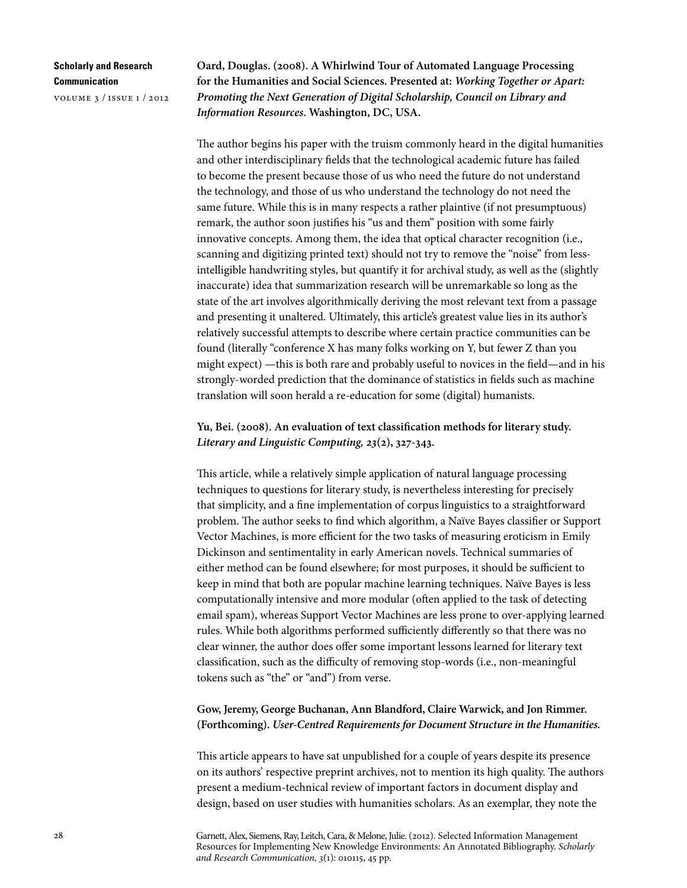volume 3 / issue 1 / 2012

**Oard, Douglas. (2008). A Whirlwind Tour of Automated Language Processing for the Humanities and Social Sciences. Presented at:** *Working Together or Apart: Promoting the Next Generation of Digital Scholarship, Council on Library and Information Resources***. Washington, DC, USA.** 

The author begins his paper with the truism commonly heard in the digital humanities and other interdisciplinary fields that the technological academic future has failed to become the present because those of us who need the future do not understand the technology, and those of us who understand the technology do not need the same future. While this is in many respects a rather plaintive (if not presumptuous) remark, the author soon justifies his "us and them" position with some fairly innovative concepts. Among them, the idea that optical character recognition (i.e., scanning and digitizing printed text) should not try to remove the "noise" from lessintelligible handwriting styles, but quantify it for archival study, as well as the (slightly inaccurate) idea that summarization research will be unremarkable so long as the state of the art involves algorithmically deriving the most relevant text from a passage and presenting it unaltered. Ultimately, this article's greatest value lies in its author's relatively successful attempts to describe where certain practice communities can be found (literally "conference X has many folks working on Y, but fewer Z than you might expect) —this is both rare and probably useful to novices in the field—and in his strongly-worded prediction that the dominance of statistics in fields such as machine translation will soon herald a re-education for some (digital) humanists.

**Yu, Bei. (2008). An evaluation of text classification methods for literary study.**  *Literary and Linguistic Computing, 23***(2), 327-343.**

This article, while a relatively simple application of natural language processing techniques to questions for literary study, is nevertheless interesting for precisely that simplicity, and a fine implementation of corpus linguistics to a straightforward problem. The author seeks to find which algorithm, a Naïve Bayes classifier or Support Vector Machines, is more efficient for the two tasks of measuring eroticism in Emily Dickinson and sentimentality in early American novels. Technical summaries of either method can be found elsewhere; for most purposes, it should be sufficient to keep in mind that both are popular machine learning techniques. Naïve Bayes is less computationally intensive and more modular (often applied to the task of detecting email spam), whereas Support Vector Machines are less prone to over-applying learned rules. While both algorithms performed sufficiently differently so that there was no clear winner, the author does offer some important lessons learned for literary text classification, such as the difficulty of removing stop-words (i.e., non-meaningful tokens such as "the" or "and") from verse.

# **Gow, Jeremy, George Buchanan, Ann Blandford, Claire Warwick, and Jon Rimmer. (Forthcoming).** *User-Centred Requirements for Document Structure in the Humanities.*

This article appears to have sat unpublished for a couple of years despite its presence on its authors' respective preprint archives, not to mention its high quality. The authors present a medium-technical review of important factors in document display and design, based on user studies with humanities scholars. As an exemplar, they note the

Garnett, Alex, Siemens, Ray, Leitch, Cara, & Melone, Julie. (2012). Selected Information Management Resources for Implementing New Knowledge Environments: An Annotated Bibliography. *Scholarly and Research Communication, 3*(1): 010115, 45 pp.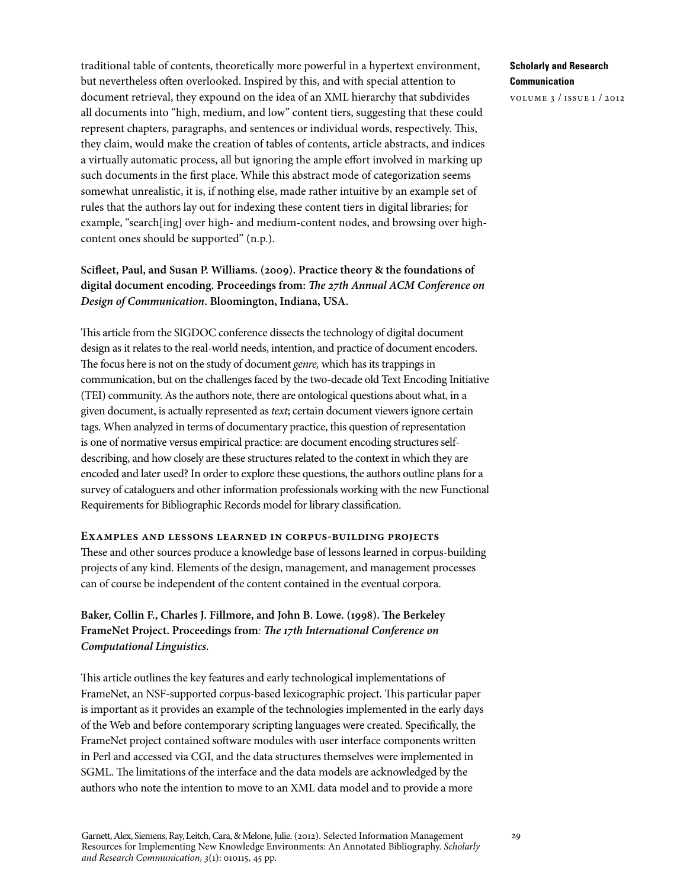traditional table of contents, theoretically more powerful in a hypertext environment, but nevertheless often overlooked. Inspired by this, and with special attention to document retrieval, they expound on the idea of an XML hierarchy that subdivides all documents into "high, medium, and low" content tiers, suggesting that these could represent chapters, paragraphs, and sentences or individual words, respectively. This, they claim, would make the creation of tables of contents, article abstracts, and indices a virtually automatic process, all but ignoring the ample effort involved in marking up such documents in the first place. While this abstract mode of categorization seems somewhat unrealistic, it is, if nothing else, made rather intuitive by an example set of rules that the authors lay out for indexing these content tiers in digital libraries; for example, "search[ing] over high- and medium-content nodes, and browsing over highcontent ones should be supported" (n.p.).

# **Scifleet, Paul, and Susan P. Williams. (2009). Practice theory & the foundations of digital document encoding. Proceedings from:** *The 27th Annual ACM Conference on Design of Communication***. Bloomington, Indiana, USA.**

This article from the SIGDOC conference dissects the technology of digital document design as it relates to the real-world needs, intention, and practice of document encoders. The focus here is not on the study of document *genre,* which has its trappings in communication, but on the challenges faced by the two-decade old Text Encoding Initiative (TEI) community. As the authors note, there are ontological questions about what, in a given document, is actually represented as *text*; certain document viewers ignore certain tags. When analyzed in terms of documentary practice, this question of representation is one of normative versus empirical practice: are document encoding structures selfdescribing, and how closely are these structures related to the context in which they are encoded and later used? In order to explore these questions, the authors outline plans for a survey of cataloguers and other information professionals working with the new Functional Requirements for Bibliographic Records model for library classification.

**Examples and lessons learned in corpus-building projects** These and other sources produce a knowledge base of lessons learned in corpus-building projects of any kind. Elements of the design, management, and management processes can of course be independent of the content contained in the eventual corpora.

## **Baker, Collin F., Charles J. Fillmore, and John B. Lowe. (1998). The Berkeley FrameNet Project. Proceedings from***: The 17th International Conference on Computational Linguistics.*

This article outlines the key features and early technological implementations of FrameNet, an NSF-supported corpus-based lexicographic project. This particular paper is important as it provides an example of the technologies implemented in the early days of the Web and before contemporary scripting languages were created. Specifically, the FrameNet project contained software modules with user interface components written in Perl and accessed via CGI, and the data structures themselves were implemented in SGML. The limitations of the interface and the data models are acknowledged by the authors who note the intention to move to an XML data model and to provide a more

### **Scholarly and Research Communication**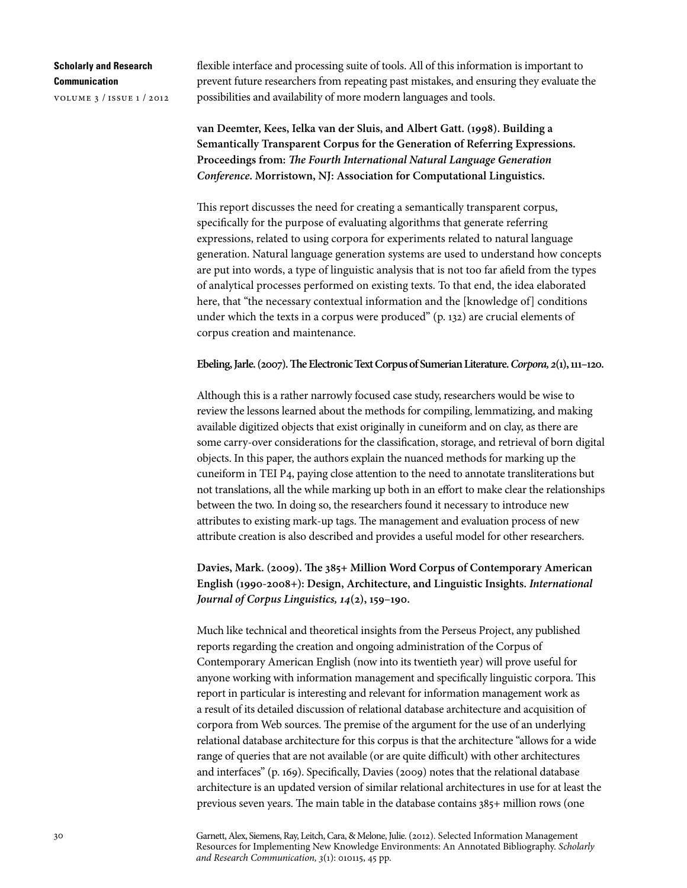volume 3 / issue 1 / 2012

flexible interface and processing suite of tools. All of this information is important to prevent future researchers from repeating past mistakes, and ensuring they evaluate the possibilities and availability of more modern languages and tools.

**van Deemter, Kees, Ielka van der Sluis, and Albert Gatt. (1998). Building a Semantically Transparent Corpus for the Generation of Referring Expressions. Proceedings from:** *The Fourth International Natural Language Generation Conference***. Morristown, NJ: Association for Computational Linguistics.**

This report discusses the need for creating a semantically transparent corpus, specifically for the purpose of evaluating algorithms that generate referring expressions, related to using corpora for experiments related to natural language generation. Natural language generation systems are used to understand how concepts are put into words, a type of linguistic analysis that is not too far afield from the types of analytical processes performed on existing texts. To that end, the idea elaborated here, that "the necessary contextual information and the [knowledge of] conditions under which the texts in a corpus were produced" (p. 132) are crucial elements of corpus creation and maintenance.

#### **Ebeling, Jarle. (2007). The Electronic Text Corpus of Sumerian Literature.** *Corpora, 2***(1), 111–120.**

Although this is a rather narrowly focused case study, researchers would be wise to review the lessons learned about the methods for compiling, lemmatizing, and making available digitized objects that exist originally in cuneiform and on clay, as there are some carry-over considerations for the classification, storage, and retrieval of born digital objects. In this paper, the authors explain the nuanced methods for marking up the cuneiform in TEI P4, paying close attention to the need to annotate transliterations but not translations, all the while marking up both in an effort to make clear the relationships between the two. In doing so, the researchers found it necessary to introduce new attributes to existing mark-up tags. The management and evaluation process of new attribute creation is also described and provides a useful model for other researchers.

# **Davies, Mark. (2009). The 385+ Million Word Corpus of Contemporary American English (1990-2008+): Design, Architecture, and Linguistic Insights.** *International Journal of Corpus Linguistics, 14***(2), 159–190.**

Much like technical and theoretical insights from the Perseus Project, any published reports regarding the creation and ongoing administration of the Corpus of Contemporary American English (now into its twentieth year) will prove useful for anyone working with information management and specifically linguistic corpora. This report in particular is interesting and relevant for information management work as a result of its detailed discussion of relational database architecture and acquisition of corpora from Web sources. The premise of the argument for the use of an underlying relational database architecture for this corpus is that the architecture "allows for a wide range of queries that are not available (or are quite difficult) with other architectures and interfaces" (p. 169). Specifically, Davies (2009) notes that the relational database architecture is an updated version of similar relational architectures in use for at least the previous seven years. The main table in the database contains 385+ million rows (one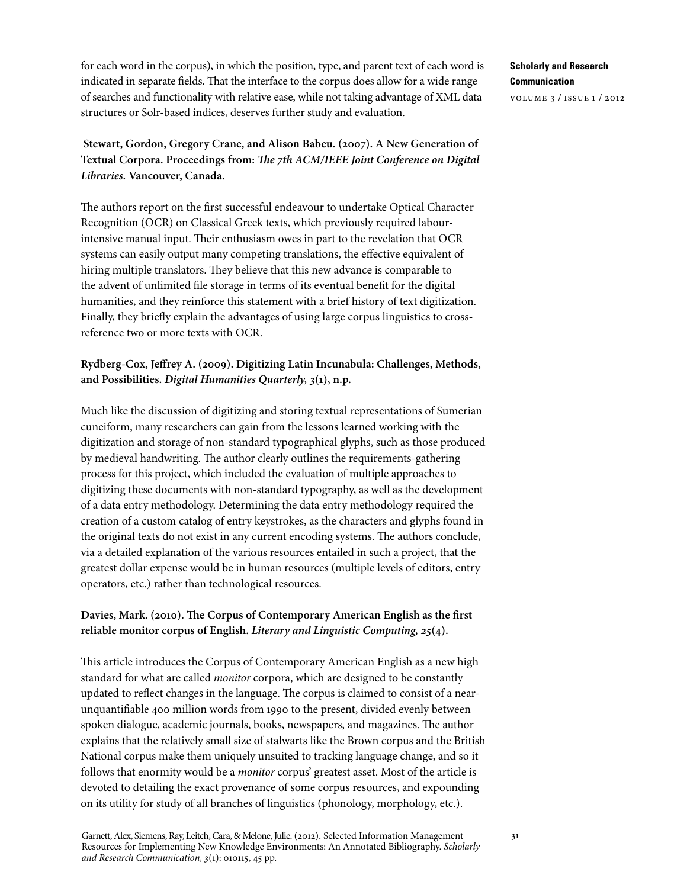for each word in the corpus), in which the position, type, and parent text of each word is indicated in separate fields. That the interface to the corpus does allow for a wide range of searches and functionality with relative ease, while not taking advantage of XML data structures or Solr-based indices, deserves further study and evaluation.

 **Stewart, Gordon, Gregory Crane, and Alison Babeu. (2007). A New Generation of Textual Corpora. Proceedings from:** *The 7th ACM/IEEE Joint Conference on Digital Libraries.* **Vancouver, Canada.**

The authors report on the first successful endeavour to undertake Optical Character Recognition (OCR) on Classical Greek texts, which previously required labourintensive manual input. Their enthusiasm owes in part to the revelation that OCR systems can easily output many competing translations, the effective equivalent of hiring multiple translators. They believe that this new advance is comparable to the advent of unlimited file storage in terms of its eventual benefit for the digital humanities, and they reinforce this statement with a brief history of text digitization. Finally, they briefly explain the advantages of using large corpus linguistics to crossreference two or more texts with OCR.

# **Rydberg-Cox, Jeffrey A. (2009). Digitizing Latin Incunabula: Challenges, Methods, and Possibilities.** *Digital Humanities Quarterly, 3***(1), n.p.**

Much like the discussion of digitizing and storing textual representations of Sumerian cuneiform, many researchers can gain from the lessons learned working with the digitization and storage of non-standard typographical glyphs, such as those produced by medieval handwriting. The author clearly outlines the requirements-gathering process for this project, which included the evaluation of multiple approaches to digitizing these documents with non-standard typography, as well as the development of a data entry methodology. Determining the data entry methodology required the creation of a custom catalog of entry keystrokes, as the characters and glyphs found in the original texts do not exist in any current encoding systems. The authors conclude, via a detailed explanation of the various resources entailed in such a project, that the greatest dollar expense would be in human resources (multiple levels of editors, entry operators, etc.) rather than technological resources.

## **Davies, Mark. (2010). The Corpus of Contemporary American English as the first reliable monitor corpus of English.** *Literary and Linguistic Computing, 25***(4).**

This article introduces the Corpus of Contemporary American English as a new high standard for what are called *monitor* corpora, which are designed to be constantly updated to reflect changes in the language. The corpus is claimed to consist of a nearunquantifiable 400 million words from 1990 to the present, divided evenly between spoken dialogue, academic journals, books, newspapers, and magazines. The author explains that the relatively small size of stalwarts like the Brown corpus and the British National corpus make them uniquely unsuited to tracking language change, and so it follows that enormity would be a *monitor* corpus' greatest asset. Most of the article is devoted to detailing the exact provenance of some corpus resources, and expounding on its utility for study of all branches of linguistics (phonology, morphology, etc.).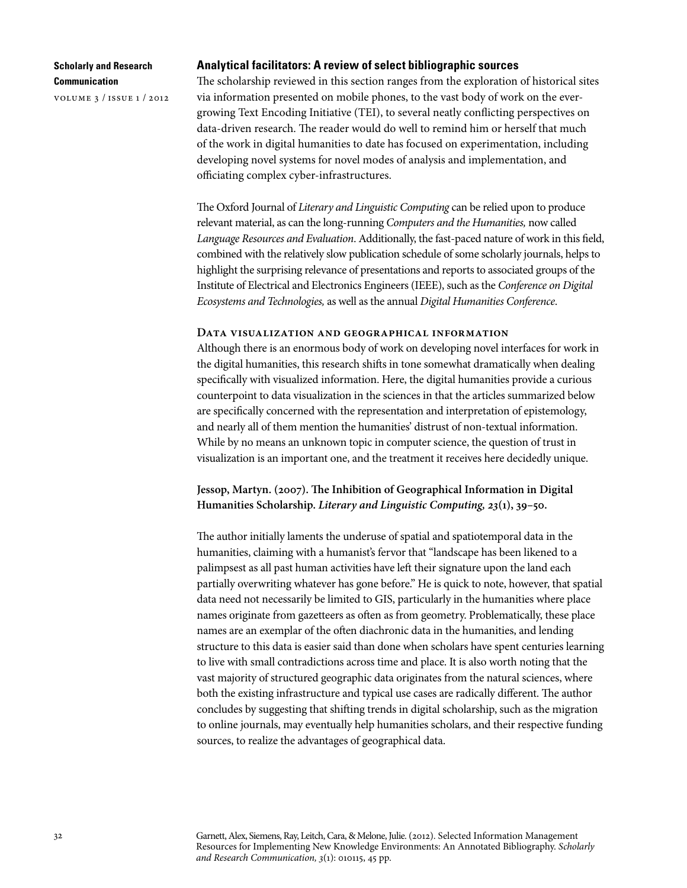volume 3 / issue 1 / 2012

#### **Analytical facilitators: A review of select bibliographic sources**

The scholarship reviewed in this section ranges from the exploration of historical sites via information presented on mobile phones, to the vast body of work on the evergrowing Text Encoding Initiative (TEI), to several neatly conflicting perspectives on data-driven research. The reader would do well to remind him or herself that much of the work in digital humanities to date has focused on experimentation, including developing novel systems for novel modes of analysis and implementation, and officiating complex cyber-infrastructures.

The Oxford Journal of *Literary and Linguistic Computing* can be relied upon to produce relevant material, as can the long-running *Computers and the Humanities,* now called *Language Resources and Evaluation*. Additionally, the fast-paced nature of work in this field, combined with the relatively slow publication schedule of some scholarly journals, helps to highlight the surprising relevance of presentations and reports to associated groups of the Institute of Electrical and Electronics Engineers (IEEE), such as the *Conference on Digital Ecosystems and Technologies,* as well as the annual *Digital Humanities Conference*.

#### **Data visualization and geographical information**

Although there is an enormous body of work on developing novel interfaces for work in the digital humanities, this research shifts in tone somewhat dramatically when dealing specifically with visualized information. Here, the digital humanities provide a curious counterpoint to data visualization in the sciences in that the articles summarized below are specifically concerned with the representation and interpretation of epistemology, and nearly all of them mention the humanities' distrust of non-textual information. While by no means an unknown topic in computer science, the question of trust in visualization is an important one, and the treatment it receives here decidedly unique.

### **Jessop, Martyn. (2007). The Inhibition of Geographical Information in Digital Humanities Scholarship.** *Literary and Linguistic Computing, 23***(1), 39–50.**

The author initially laments the underuse of spatial and spatiotemporal data in the humanities, claiming with a humanist's fervor that "landscape has been likened to a palimpsest as all past human activities have left their signature upon the land each partially overwriting whatever has gone before." He is quick to note, however, that spatial data need not necessarily be limited to GIS, particularly in the humanities where place names originate from gazetteers as often as from geometry. Problematically, these place names are an exemplar of the often diachronic data in the humanities, and lending structure to this data is easier said than done when scholars have spent centuries learning to live with small contradictions across time and place. It is also worth noting that the vast majority of structured geographic data originates from the natural sciences, where both the existing infrastructure and typical use cases are radically different. The author concludes by suggesting that shifting trends in digital scholarship, such as the migration to online journals, may eventually help humanities scholars, and their respective funding sources, to realize the advantages of geographical data.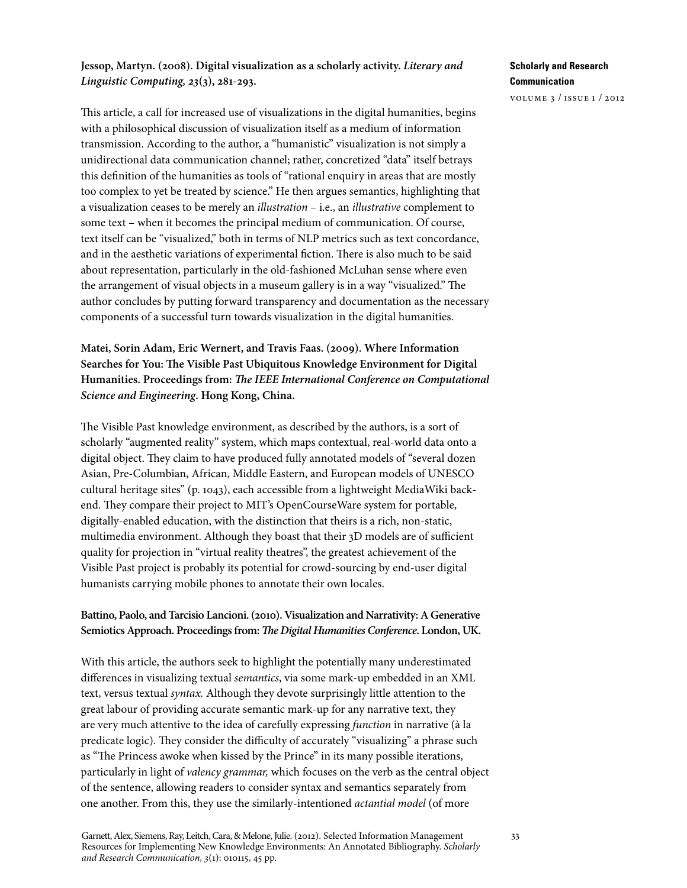## **Jessop, Martyn. (2008). Digital visualization as a scholarly activity.** *Literary and Linguistic Computing, 23***(3), 281-293.**

This article, a call for increased use of visualizations in the digital humanities, begins with a philosophical discussion of visualization itself as a medium of information transmission. According to the author, a "humanistic" visualization is not simply a unidirectional data communication channel; rather, concretized "data" itself betrays this definition of the humanities as tools of "rational enquiry in areas that are mostly too complex to yet be treated by science." He then argues semantics, highlighting that a visualization ceases to be merely an *illustration* – i.e., an *illustrative* complement to some text – when it becomes the principal medium of communication. Of course, text itself can be "visualized," both in terms of NLP metrics such as text concordance, and in the aesthetic variations of experimental fiction. There is also much to be said about representation, particularly in the old-fashioned McLuhan sense where even the arrangement of visual objects in a museum gallery is in a way "visualized." The author concludes by putting forward transparency and documentation as the necessary components of a successful turn towards visualization in the digital humanities.

**Matei, Sorin Adam, Eric Wernert, and Travis Faas. (2009). Where Information Searches for You: The Visible Past Ubiquitous Knowledge Environment for Digital Humanities. Proceedings from:** *The IEEE International Conference on Computational Science and Engineering***. Hong Kong, China.**

The Visible Past knowledge environment, as described by the authors, is a sort of scholarly "augmented reality" system, which maps contextual, real-world data onto a digital object. They claim to have produced fully annotated models of "several dozen Asian, Pre-Columbian, African, Middle Eastern, and European models of UNESCO cultural heritage sites" (p. 1043), each accessible from a lightweight MediaWiki backend. They compare their project to MIT's OpenCourseWare system for portable, digitally-enabled education, with the distinction that theirs is a rich, non-static, multimedia environment. Although they boast that their 3D models are of sufficient quality for projection in "virtual reality theatres", the greatest achievement of the Visible Past project is probably its potential for crowd-sourcing by end-user digital humanists carrying mobile phones to annotate their own locales.

### **Battino, Paolo, and Tarcisio Lancioni. (2010). Visualization and Narrativity: A Generative Semiotics Approach. Proceedings from:** *The Digital Humanities Conference***. London, UK.**

With this article, the authors seek to highlight the potentially many underestimated differences in visualizing textual *semantics*, via some mark-up embedded in an XML text, versus textual *syntax.* Although they devote surprisingly little attention to the great labour of providing accurate semantic mark-up for any narrative text, they are very much attentive to the idea of carefully expressing *function* in narrative (à la predicate logic). They consider the difficulty of accurately "visualizing" a phrase such as "The Princess awoke when kissed by the Prince" in its many possible iterations, particularly in light of *valency grammar,* which focuses on the verb as the central object of the sentence, allowing readers to consider syntax and semantics separately from one another. From this, they use the similarly-intentioned *actantial model* (of more

## **Scholarly and Research Communication**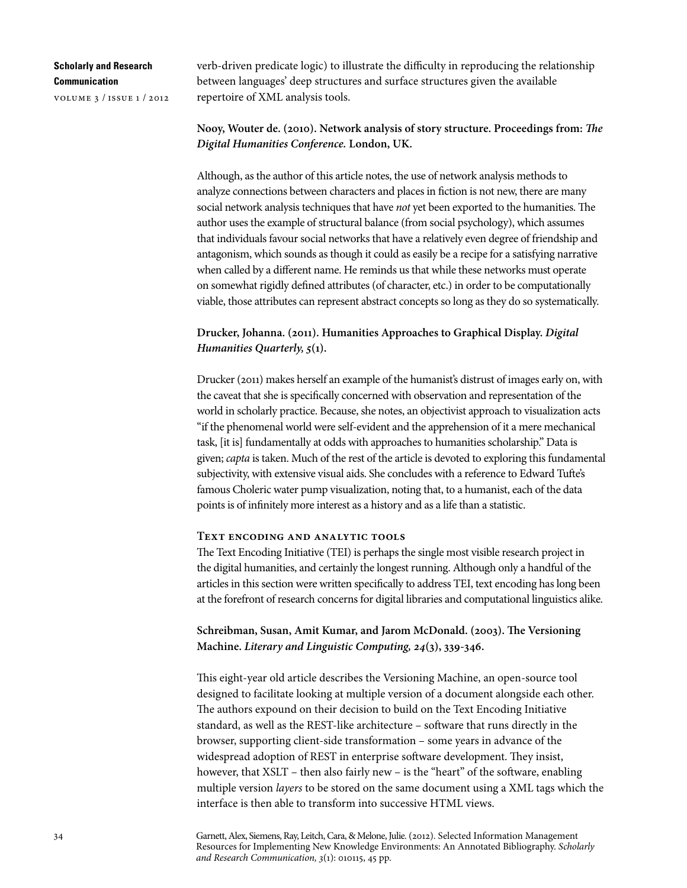volume 3 / issue 1 / 2012

verb-driven predicate logic) to illustrate the difficulty in reproducing the relationship between languages' deep structures and surface structures given the available repertoire of XML analysis tools.

### **Nooy, Wouter de. (2010). Network analysis of story structure. Proceedings from:** *The Digital Humanities Conference.* **London, UK.**

Although, as the author of this article notes, the use of network analysis methods to analyze connections between characters and places in fiction is not new, there are many social network analysis techniques that have *not* yet been exported to the humanities. The author uses the example of structural balance (from social psychology), which assumes that individuals favour social networks that have a relatively even degree of friendship and antagonism, which sounds as though it could as easily be a recipe for a satisfying narrative when called by a different name. He reminds us that while these networks must operate on somewhat rigidly defined attributes (of character, etc.) in order to be computationally viable, those attributes can represent abstract concepts so long as they do so systematically.

## **Drucker, Johanna. (2011). Humanities Approaches to Graphical Display.** *Digital Humanities Quarterly, 5***(1).**

Drucker (2011) makes herself an example of the humanist's distrust of images early on, with the caveat that she is specifically concerned with observation and representation of the world in scholarly practice. Because, she notes, an objectivist approach to visualization acts "if the phenomenal world were self-evident and the apprehension of it a mere mechanical task, [it is] fundamentally at odds with approaches to humanities scholarship." Data is given; *capta* is taken. Much of the rest of the article is devoted to exploring this fundamental subjectivity, with extensive visual aids. She concludes with a reference to Edward Tufte's famous Choleric water pump visualization, noting that, to a humanist, each of the data points is of infinitely more interest as a history and as a life than a statistic.

#### **Text encoding and analytic tools**

The Text Encoding Initiative (TEI) is perhaps the single most visible research project in the digital humanities, and certainly the longest running. Although only a handful of the articles in this section were written specifically to address TEI, text encoding has long been at the forefront of research concerns for digital libraries and computational linguistics alike.

**Schreibman, Susan, Amit Kumar, and Jarom McDonald. (2003). The Versioning Machine.** *Literary and Linguistic Computing, 24***(3), 339-346.**

This eight-year old article describes the Versioning Machine, an open-source tool designed to facilitate looking at multiple version of a document alongside each other. The authors expound on their decision to build on the Text Encoding Initiative standard, as well as the REST-like architecture – software that runs directly in the browser, supporting client-side transformation – some years in advance of the widespread adoption of REST in enterprise software development. They insist, however, that XSLT – then also fairly new – is the "heart" of the software, enabling multiple version *layers* to be stored on the same document using a XML tags which the interface is then able to transform into successive HTML views.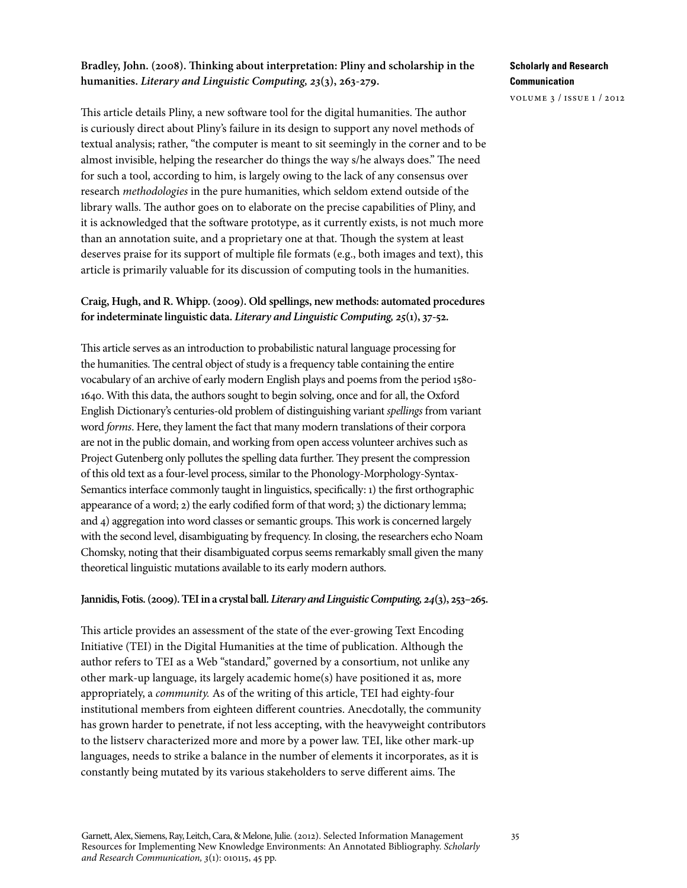### **Bradley, John. (2008). Thinking about interpretation: Pliny and scholarship in the humanities.** *Literary and Linguistic Computing, 23***(3), 263-279.**

This article details Pliny, a new software tool for the digital humanities. The author is curiously direct about Pliny's failure in its design to support any novel methods of textual analysis; rather, "the computer is meant to sit seemingly in the corner and to be almost invisible, helping the researcher do things the way s/he always does." The need for such a tool, according to him, is largely owing to the lack of any consensus over research *methodologies* in the pure humanities, which seldom extend outside of the library walls. The author goes on to elaborate on the precise capabilities of Pliny, and it is acknowledged that the software prototype, as it currently exists, is not much more than an annotation suite, and a proprietary one at that. Though the system at least deserves praise for its support of multiple file formats (e.g., both images and text), this article is primarily valuable for its discussion of computing tools in the humanities.

### **Craig, Hugh, and R. Whipp. (2009). Old spellings, new methods: automated procedures for indeterminate linguistic data.** *Literary and Linguistic Computing, 25***(1), 37-52.**

This article serves as an introduction to probabilistic natural language processing for the humanities. The central object of study is a frequency table containing the entire vocabulary of an archive of early modern English plays and poems from the period 1580- 1640. With this data, the authors sought to begin solving, once and for all, the Oxford English Dictionary's centuries-old problem of distinguishing variant *spellings* from variant word *forms*. Here, they lament the fact that many modern translations of their corpora are not in the public domain, and working from open access volunteer archives such as Project Gutenberg only pollutes the spelling data further. They present the compression of this old text as a four-level process, similar to the Phonology-Morphology-Syntax-Semantics interface commonly taught in linguistics, specifically: 1) the first orthographic appearance of a word; 2) the early codified form of that word; 3) the dictionary lemma; and 4) aggregation into word classes or semantic groups. This work is concerned largely with the second level, disambiguating by frequency. In closing, the researchers echo Noam Chomsky, noting that their disambiguated corpus seems remarkably small given the many theoretical linguistic mutations available to its early modern authors.

#### **Jannidis, Fotis. (2009). TEI in a crystal ball.** *Literary and Linguistic Computing, 24***(3), 253–265.**

This article provides an assessment of the state of the ever-growing Text Encoding Initiative (TEI) in the Digital Humanities at the time of publication. Although the author refers to TEI as a Web "standard," governed by a consortium, not unlike any other mark-up language, its largely academic home(s) have positioned it as, more appropriately, a *community.* As of the writing of this article, TEI had eighty-four institutional members from eighteen different countries. Anecdotally, the community has grown harder to penetrate, if not less accepting, with the heavyweight contributors to the listserv characterized more and more by a power law. TEI, like other mark-up languages, needs to strike a balance in the number of elements it incorporates, as it is constantly being mutated by its various stakeholders to serve different aims. The

## **Scholarly and Research Communication**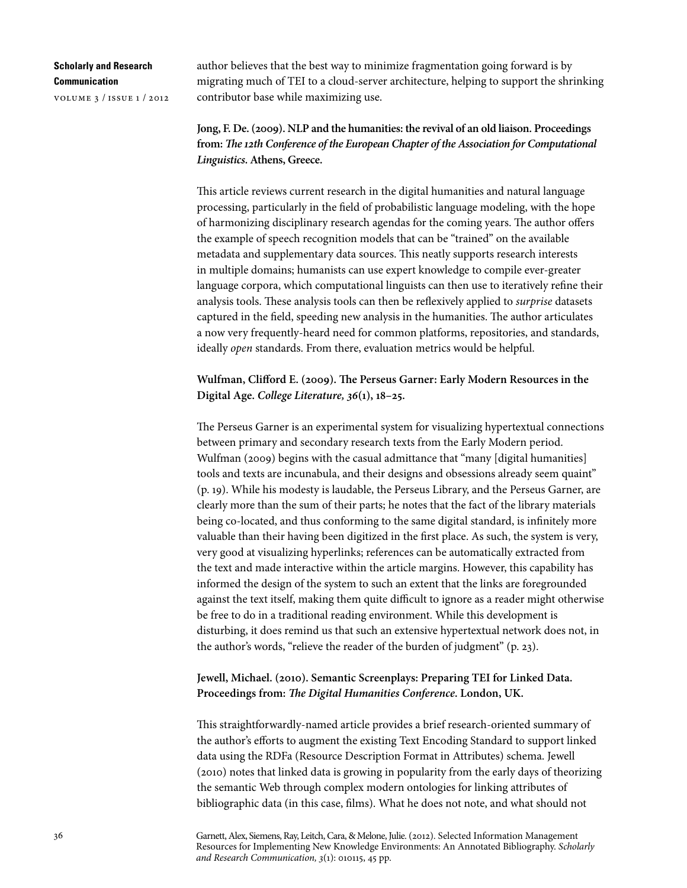volume 3 / issue 1 / 2012

author believes that the best way to minimize fragmentation going forward is by migrating much of TEI to a cloud-server architecture, helping to support the shrinking contributor base while maximizing use.

# **Jong, F. De. (2009). NLP and the humanities: the revival of an old liaison. Proceedings from:** *The 12th Conference of the European Chapter of the Association for Computational Linguistics***. Athens, Greece.**

This article reviews current research in the digital humanities and natural language processing, particularly in the field of probabilistic language modeling, with the hope of harmonizing disciplinary research agendas for the coming years. The author offers the example of speech recognition models that can be "trained" on the available metadata and supplementary data sources. This neatly supports research interests in multiple domains; humanists can use expert knowledge to compile ever-greater language corpora, which computational linguists can then use to iteratively refine their analysis tools. These analysis tools can then be reflexively applied to *surprise* datasets captured in the field, speeding new analysis in the humanities. The author articulates a now very frequently-heard need for common platforms, repositories, and standards, ideally *open* standards. From there, evaluation metrics would be helpful.

## **Wulfman, Clifford E. (2009). The Perseus Garner: Early Modern Resources in the Digital Age.** *College Literature, 36***(1), 18–25.**

The Perseus Garner is an experimental system for visualizing hypertextual connections between primary and secondary research texts from the Early Modern period. Wulfman (2009) begins with the casual admittance that "many [digital humanities] tools and texts are incunabula, and their designs and obsessions already seem quaint" (p. 19). While his modesty is laudable, the Perseus Library, and the Perseus Garner, are clearly more than the sum of their parts; he notes that the fact of the library materials being co-located, and thus conforming to the same digital standard, is infinitely more valuable than their having been digitized in the first place. As such, the system is very, very good at visualizing hyperlinks; references can be automatically extracted from the text and made interactive within the article margins. However, this capability has informed the design of the system to such an extent that the links are foregrounded against the text itself, making them quite difficult to ignore as a reader might otherwise be free to do in a traditional reading environment. While this development is disturbing, it does remind us that such an extensive hypertextual network does not, in the author's words, "relieve the reader of the burden of judgment" (p. 23).

## **Jewell, Michael. (2010). Semantic Screenplays: Preparing TEI for Linked Data. Proceedings from:** *The Digital Humanities Conference***. London, UK.**

This straightforwardly-named article provides a brief research-oriented summary of the author's efforts to augment the existing Text Encoding Standard to support linked data using the RDFa (Resource Description Format in Attributes) schema. Jewell (2010) notes that linked data is growing in popularity from the early days of theorizing the semantic Web through complex modern ontologies for linking attributes of bibliographic data (in this case, films). What he does not note, and what should not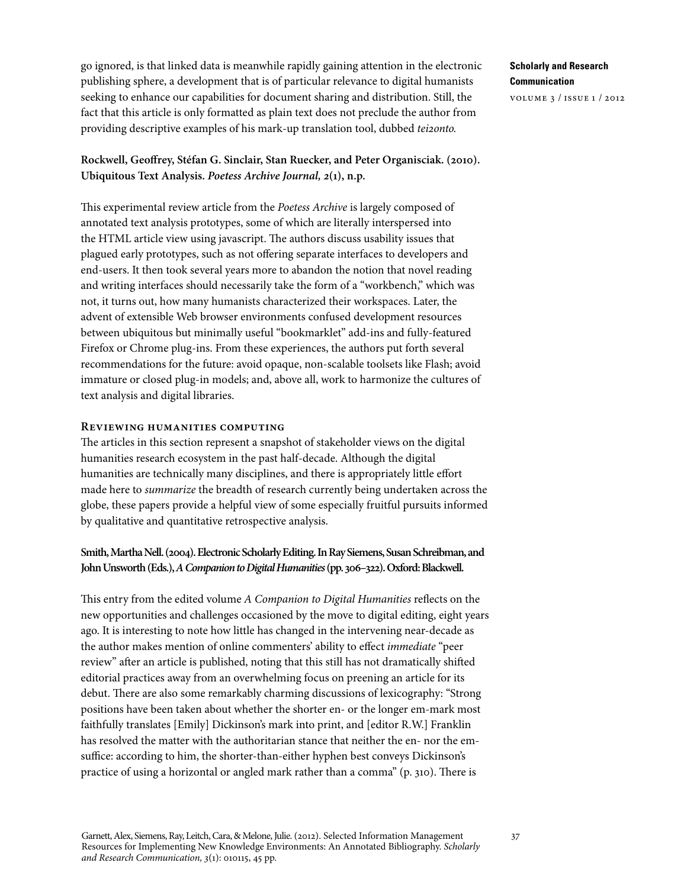go ignored, is that linked data is meanwhile rapidly gaining attention in the electronic publishing sphere, a development that is of particular relevance to digital humanists seeking to enhance our capabilities for document sharing and distribution. Still, the fact that this article is only formatted as plain text does not preclude the author from providing descriptive examples of his mark-up translation tool, dubbed *tei2onto.*

## **Rockwell, Geoffrey, Stéfan G. Sinclair, Stan Ruecker, and Peter Organisciak. (2010). Ubiquitous Text Analysis.** *Poetess Archive Journal, 2***(1), n.p.**

This experimental review article from the *Poetess Archive* is largely composed of annotated text analysis prototypes, some of which are literally interspersed into the HTML article view using javascript. The authors discuss usability issues that plagued early prototypes, such as not offering separate interfaces to developers and end-users. It then took several years more to abandon the notion that novel reading and writing interfaces should necessarily take the form of a "workbench," which was not, it turns out, how many humanists characterized their workspaces. Later, the advent of extensible Web browser environments confused development resources between ubiquitous but minimally useful "bookmarklet" add-ins and fully-featured Firefox or Chrome plug-ins. From these experiences, the authors put forth several recommendations for the future: avoid opaque, non-scalable toolsets like Flash; avoid immature or closed plug-in models; and, above all, work to harmonize the cultures of text analysis and digital libraries.

#### **Reviewing humanities computing**

The articles in this section represent a snapshot of stakeholder views on the digital humanities research ecosystem in the past half-decade. Although the digital humanities are technically many disciplines, and there is appropriately little effort made here to *summarize* the breadth of research currently being undertaken across the globe, these papers provide a helpful view of some especially fruitful pursuits informed by qualitative and quantitative retrospective analysis.

## **Smith, Martha Nell. (2004). Electronic Scholarly Editing. In Ray Siemens, Susan Schreibman, and John Unsworth (Eds.),** *A Companion to Digital Humanities* **(pp. 306–322). Oxford: Blackwell.**

This entry from the edited volume *A Companion to Digital Humanities* reflects on the new opportunities and challenges occasioned by the move to digital editing, eight years ago. It is interesting to note how little has changed in the intervening near-decade as the author makes mention of online commenters' ability to effect *immediate* "peer review" after an article is published, noting that this still has not dramatically shifted editorial practices away from an overwhelming focus on preening an article for its debut. There are also some remarkably charming discussions of lexicography: "Strong positions have been taken about whether the shorter en- or the longer em-mark most faithfully translates [Emily] Dickinson's mark into print, and [editor R.W.] Franklin has resolved the matter with the authoritarian stance that neither the en- nor the emsuffice: according to him, the shorter-than-either hyphen best conveys Dickinson's practice of using a horizontal or angled mark rather than a comma" (p. 310). There is

# **Scholarly and Research Communication**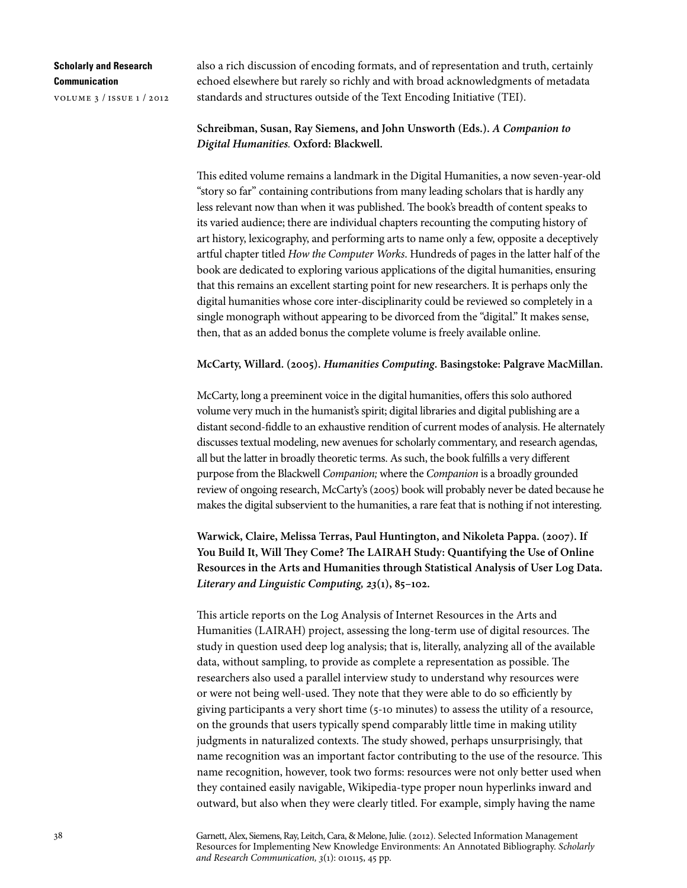volume 3 / issue 1 / 2012

also a rich discussion of encoding formats, and of representation and truth, certainly echoed elsewhere but rarely so richly and with broad acknowledgments of metadata standards and structures outside of the Text Encoding Initiative (TEI).

### **Schreibman, Susan, Ray Siemens, and John Unsworth (Eds.).** *A Companion to Digital Humanities.* **Oxford: Blackwell.**

This edited volume remains a landmark in the Digital Humanities, a now seven-year-old "story so far" containing contributions from many leading scholars that is hardly any less relevant now than when it was published. The book's breadth of content speaks to its varied audience; there are individual chapters recounting the computing history of art history, lexicography, and performing arts to name only a few, opposite a deceptively artful chapter titled *How the Computer Works*. Hundreds of pages in the latter half of the book are dedicated to exploring various applications of the digital humanities, ensuring that this remains an excellent starting point for new researchers. It is perhaps only the digital humanities whose core inter-disciplinarity could be reviewed so completely in a single monograph without appearing to be divorced from the "digital." It makes sense, then, that as an added bonus the complete volume is freely available online.

#### **McCarty, Willard. (2005).** *Humanities Computing***. Basingstoke: Palgrave MacMillan.**

McCarty, long a preeminent voice in the digital humanities, offers this solo authored volume very much in the humanist's spirit; digital libraries and digital publishing are a distant second-fiddle to an exhaustive rendition of current modes of analysis. He alternately discusses textual modeling, new avenues for scholarly commentary, and research agendas, all but the latter in broadly theoretic terms. As such, the book fulfills a very different purpose from the Blackwell *Companion;* where the *Companion* is a broadly grounded review of ongoing research, McCarty's (2005) book will probably never be dated because he makes the digital subservient to the humanities, a rare feat that is nothing if not interesting.

**Warwick, Claire, Melissa Terras, Paul Huntington, and Nikoleta Pappa. (2007). If You Build It, Will They Come? The LAIRAH Study: Quantifying the Use of Online Resources in the Arts and Humanities through Statistical Analysis of User Log Data.**  *Literary and Linguistic Computing, 23***(1), 85–102.**

This article reports on the Log Analysis of Internet Resources in the Arts and Humanities (LAIRAH) project, assessing the long-term use of digital resources. The study in question used deep log analysis; that is, literally, analyzing all of the available data, without sampling, to provide as complete a representation as possible. The researchers also used a parallel interview study to understand why resources were or were not being well-used. They note that they were able to do so efficiently by giving participants a very short time (5-10 minutes) to assess the utility of a resource, on the grounds that users typically spend comparably little time in making utility judgments in naturalized contexts. The study showed, perhaps unsurprisingly, that name recognition was an important factor contributing to the use of the resource. This name recognition, however, took two forms: resources were not only better used when they contained easily navigable, Wikipedia-type proper noun hyperlinks inward and outward, but also when they were clearly titled. For example, simply having the name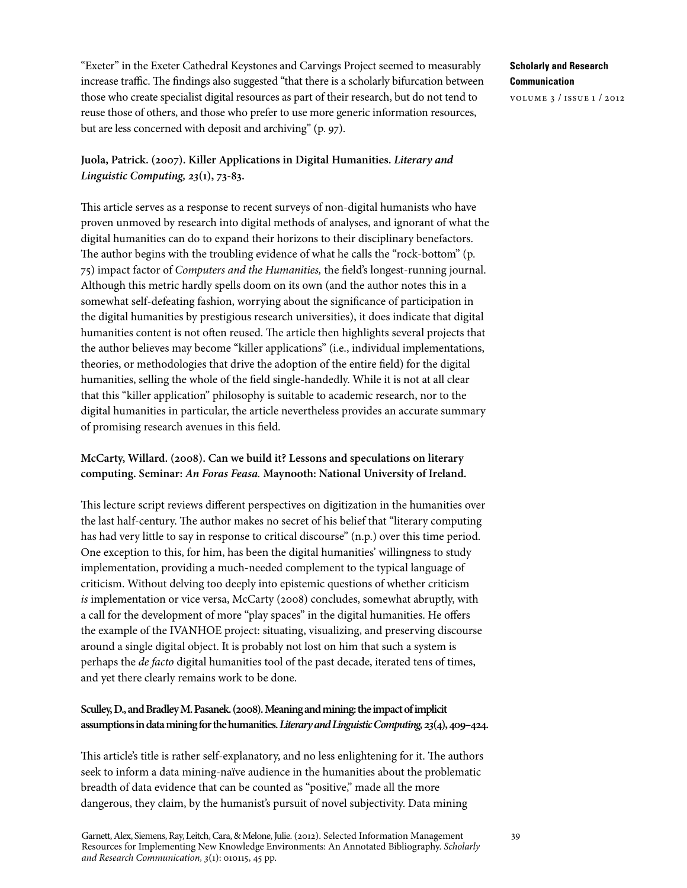"Exeter" in the Exeter Cathedral Keystones and Carvings Project seemed to measurably increase traffic. The findings also suggested "that there is a scholarly bifurcation between those who create specialist digital resources as part of their research, but do not tend to reuse those of others, and those who prefer to use more generic information resources, but are less concerned with deposit and archiving" (p. 97).

## **Juola, Patrick. (2007). Killer Applications in Digital Humanities.** *Literary and Linguistic Computing, 23***(1), 73-83.**

This article serves as a response to recent surveys of non-digital humanists who have proven unmoved by research into digital methods of analyses, and ignorant of what the digital humanities can do to expand their horizons to their disciplinary benefactors. The author begins with the troubling evidence of what he calls the "rock-bottom" (p. 75) impact factor of *Computers and the Humanities,* the field's longest-running journal. Although this metric hardly spells doom on its own (and the author notes this in a somewhat self-defeating fashion, worrying about the significance of participation in the digital humanities by prestigious research universities), it does indicate that digital humanities content is not often reused. The article then highlights several projects that the author believes may become "killer applications" (i.e., individual implementations, theories, or methodologies that drive the adoption of the entire field) for the digital humanities, selling the whole of the field single-handedly. While it is not at all clear that this "killer application" philosophy is suitable to academic research, nor to the digital humanities in particular, the article nevertheless provides an accurate summary of promising research avenues in this field.

## **McCarty, Willard. (2008). Can we build it? Lessons and speculations on literary computing. Seminar:** *An Foras Feasa.* **Maynooth: National University of Ireland.**

This lecture script reviews different perspectives on digitization in the humanities over the last half-century. The author makes no secret of his belief that "literary computing has had very little to say in response to critical discourse" (n.p.) over this time period. One exception to this, for him, has been the digital humanities' willingness to study implementation, providing a much-needed complement to the typical language of criticism. Without delving too deeply into epistemic questions of whether criticism *is* implementation or vice versa, McCarty (2008) concludes, somewhat abruptly, with a call for the development of more "play spaces" in the digital humanities. He offers the example of the IVANHOE project: situating, visualizing, and preserving discourse around a single digital object. It is probably not lost on him that such a system is perhaps the *de facto* digital humanities tool of the past decade, iterated tens of times, and yet there clearly remains work to be done.

## **Sculley, D., and Bradley M. Pasanek. (2008). Meaning and mining: the impact of implicit assumptions in data mining for the humanities.** *Literary and Linguistic Computing, 23***(4), 409–424.**

This article's title is rather self-explanatory, and no less enlightening for it. The authors seek to inform a data mining-naïve audience in the humanities about the problematic breadth of data evidence that can be counted as "positive," made all the more dangerous, they claim, by the humanist's pursuit of novel subjectivity. Data mining

Garnett, Alex, Siemens, Ray, Leitch, Cara, & Melone, Julie. (2012). Selected Information Management Resources for Implementing New Knowledge Environments: An Annotated Bibliography. *Scholarly and Research Communication, 3*(1): 010115, 45 pp.

## **Scholarly and Research Communication**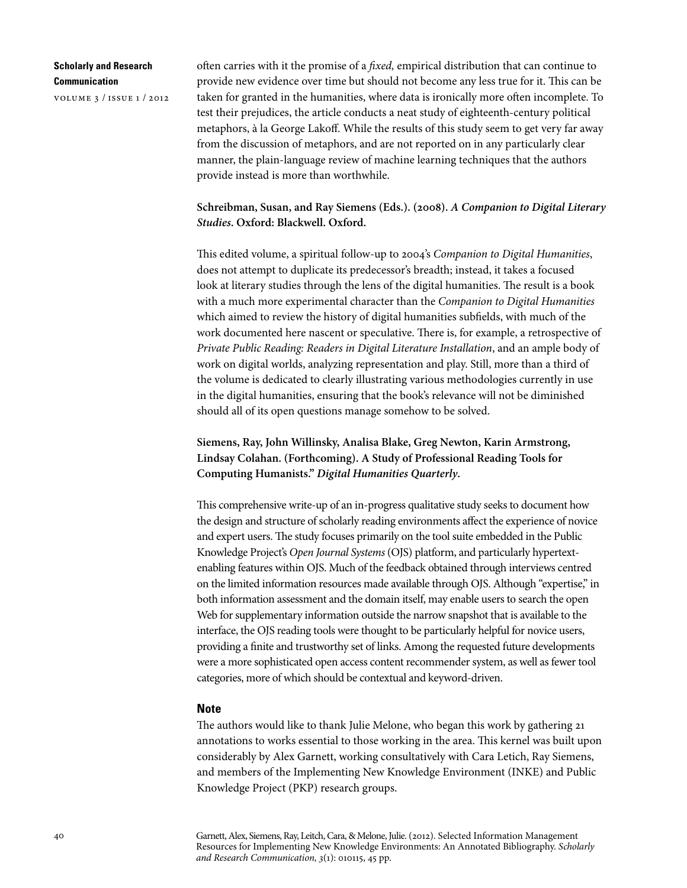volume 3 / issue 1 / 2012

often carries with it the promise of a *fixed,* empirical distribution that can continue to provide new evidence over time but should not become any less true for it. This can be taken for granted in the humanities, where data is ironically more often incomplete. To test their prejudices, the article conducts a neat study of eighteenth-century political metaphors, à la George Lakoff. While the results of this study seem to get very far away from the discussion of metaphors, and are not reported on in any particularly clear manner, the plain-language review of machine learning techniques that the authors provide instead is more than worthwhile.

**Schreibman, Susan, and Ray Siemens (Eds.). (2008).** *A Companion to Digital Literary Studies***. Oxford: Blackwell. Oxford.**

This edited volume, a spiritual follow-up to 2004's *Companion to Digital Humanities*, does not attempt to duplicate its predecessor's breadth; instead, it takes a focused look at literary studies through the lens of the digital humanities. The result is a book with a much more experimental character than the *Companion to Digital Humanities* which aimed to review the history of digital humanities subfields, with much of the work documented here nascent or speculative. There is, for example, a retrospective of *Private Public Reading: Readers in Digital Literature Installation*, and an ample body of work on digital worlds, analyzing representation and play. Still, more than a third of the volume is dedicated to clearly illustrating various methodologies currently in use in the digital humanities, ensuring that the book's relevance will not be diminished should all of its open questions manage somehow to be solved.

**Siemens, Ray, John Willinsky, Analisa Blake, Greg Newton, Karin Armstrong, Lindsay Colahan. (Forthcoming). A Study of Professional Reading Tools for Computing Humanists."** *Digital Humanities Quarterly***.** 

This comprehensive write-up of an in-progress qualitative study seeks to document how the design and structure of scholarly reading environments affect the experience of novice and expert users. The study focuses primarily on the tool suite embedded in the Public Knowledge Project's *Open Journal Systems* (OJS) platform, and particularly hypertextenabling features within OJS. Much of the feedback obtained through interviews centred on the limited information resources made available through OJS. Although "expertise," in both information assessment and the domain itself, may enable users to search the open Web for supplementary information outside the narrow snapshot that is available to the interface, the OJS reading tools were thought to be particularly helpful for novice users, providing a finite and trustworthy set of links. Among the requested future developments were a more sophisticated open access content recommender system, as well as fewer tool categories, more of which should be contextual and keyword-driven.

#### **Note**

The authors would like to thank Julie Melone, who began this work by gathering 21 annotations to works essential to those working in the area. This kernel was built upon considerably by Alex Garnett, working consultatively with Cara Letich, Ray Siemens, and members of the Implementing New Knowledge Environment (INKE) and Public Knowledge Project (PKP) research groups.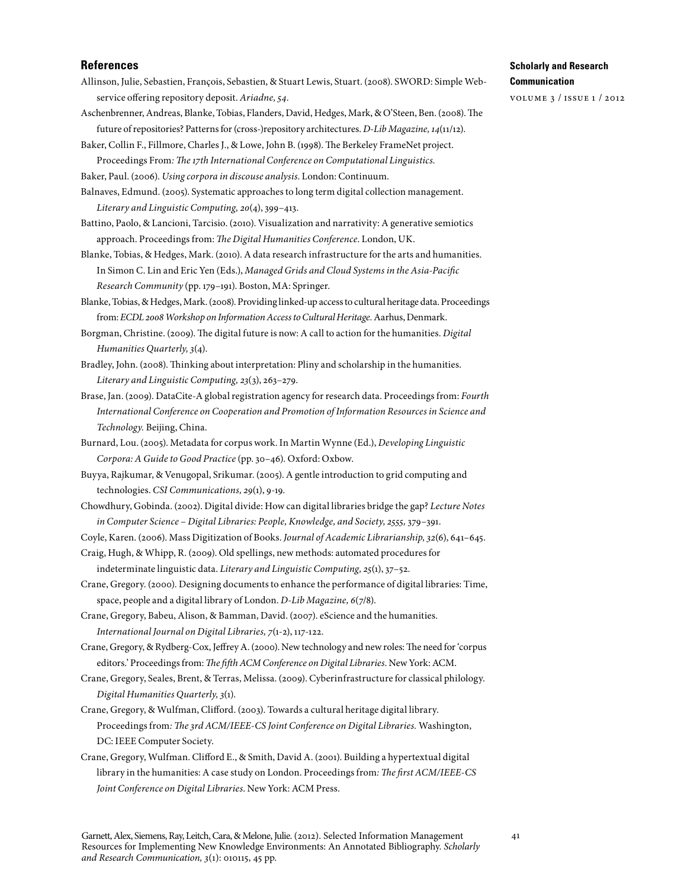#### **References**

- Allinson, Julie, Sebastien, François, Sebastien, & Stuart Lewis, Stuart. (2008). SWORD: Simple Webservice offering repository deposit. Ariadne, 54.
- Aschenbrenner, Andreas, Blanke, Tobias, Flanders, David, Hedges, Mark, & O'Steen, Ben. (2008). The future of repositories? Patterns for (cross-)repository architectures. *D-Lib Magazine*, 14(11/12).
- Baker, Collin F., Fillmore, Charles J., & Lowe, John B. (1998). The Berkeley FrameNet project. Proceedings From*: The 17th International Conference on Computational Linguistics.*
- Baker, Paul. (2006). *Using corpora in discouse analysis*. London: Continuum.

Balnaves, Edmund. (2005). Systematic approaches to long term digital collection management. *Literary and Linguistic Computing, 20*(4), 399–413.

- Battino, Paolo, & Lancioni, Tarcisio. (2010). Visualization and narrativity: A generative semiotics approach. Proceedings from: *The Digital Humanities Conference*. London, UK.
- Blanke, Tobias, & Hedges, Mark. (2010). A data research infrastructure for the arts and humanities. In Simon C. Lin and Eric Yen (Eds.), *Managed Grids and Cloud Systems in the Asia-Pacific Research Community* (pp. 179–191). Boston, MA: Springer.
- Blanke, Tobias, & Hedges, Mark. (2008). Providing linked-up access to cultural heritage data. Proceedings from: *ECDL 2008 Workshop on Information Access to Cultural Heritage.* Aarhus, Denmark.
- Borgman, Christine. (2009). The digital future is now: A call to action for the humanities. *Digital Humanities Quarterly,3*(4).
- Bradley, John. (2008). Thinking about interpretation: Pliny and scholarship in the humanities. *Literary and Linguistic Computing, 23*(3), 263–279.
- Brase, Jan. (2009). DataCite-A global registration agency for research data. Proceedings from: *Fourth International Conference on Cooperation and Promotion of Information Resources in Science and Technology.* Beijing, China.
- Burnard, Lou. (2005). Metadata for corpus work. In Martin Wynne (Ed.), *Developing Linguistic Corpora: A Guide to Good Practice* (pp. 30–46)*.* Oxford: Oxbow.
- Buyya, Rajkumar, & Venugopal, Srikumar. (2005). A gentle introduction to grid computing and technologies. *CSI Communications, 29*(1), 9-19.
- Chowdhury, Gobinda. (2002). Digital divide: How can digital libraries bridge the gap? *Lecture Notes in Computer Science* – *Digital Libraries: People, Knowledge, and Society, 2555,* 379–391.
- Coyle, Karen. (2006). Mass Digitization of Books. *Journal of Academic Librarianship,32*(6), 641–645.
- Craig, Hugh, & Whipp, R. (2009). Old spellings, new methods: automated procedures for indeterminate linguistic data. *Literary and Linguistic Computing, 25*(1), 37–52.
- Crane, Gregory. (2000). Designing documents to enhance the performance of digital libraries: Time, space, people and a digital library of London. *D-Lib Magazine, 6*(7/8).
- Crane, Gregory, Babeu, Alison, & Bamman, David. (2007). eScience and the humanities. *International Journal on Digital Libraries, 7*(1-2), 117-122.
- Crane, Gregory, & Rydberg-Cox, Jeffrey A. (2000). New technology and new roles: The need for 'corpus editors.' Proceedings from: *The fifth ACM Conference on Digital Libraries*. New York: ACM.
- Crane, Gregory, Seales, Brent, & Terras, Melissa. (2009). Cyberinfrastructure for classical philology. *Digital Humanities Quarterly,3*(1).
- Crane, Gregory, & Wulfman, Clifford. (2003). Towards a cultural heritage digital library. Proceedings from*: The 3rd ACM/IEEE-CS Joint Conference on Digital Libraries.* Washington, DC: IEEE Computer Society.
- Crane, Gregory, Wulfman. Clifford E., & Smith, David A. (2001). Building a hypertextual digital library in the humanities: A case study on London. Proceedings from*: The first ACM/IEEE-CS Joint Conference on Digital Libraries*. New York: ACM Press.

#### **Scholarly and Research Communication**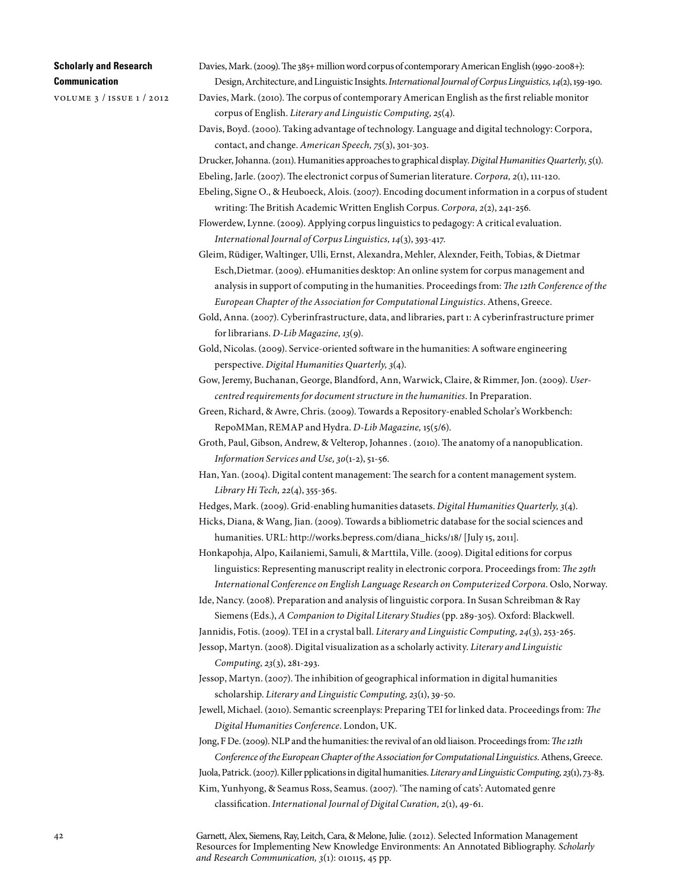volume 3 / issue 1 / 2012

- Davies, Mark. (2009). The 385+ million word corpus of contemporary American English (1990-2008+): Design, Architecture, and Linguistic Insights. *International Journal of Corpus Linguistics,14*(2), 159-190.
- Davies, Mark. (2010). The corpus of contemporary American English as the first reliable monitor corpus of English. *Literary and Linguistic Computing, 25*(4).
- Davis, Boyd. (2000). Taking advantage of technology. Language and digital technology: Corpora, contact, and change. *American Speech, 75*(3), 301-303.

Drucker, Johanna. (2011). Humanities approaches to graphical display. *Digital Humanities Quarterly,5*(1). Ebeling, Jarle. (2007). The electronict corpus of Sumerian literature. *Corpora, 2*(1), 111-120.

- Ebeling, Signe O., & Heuboeck, Alois. (2007). Encoding document information in a corpus of student writing: The British Academic Written English Corpus. *Corpora, 2*(2), 241-256.
- Flowerdew, Lynne. (2009). Applying corpus linguistics to pedagogy: A critical evaluation. *International Journal of Corpus Linguistics, 14*(3), 393-417.
- Gleim, Rüdiger, Waltinger, Ulli, Ernst, Alexandra, Mehler, Alexnder, Feith, Tobias, & Dietmar Esch,Dietmar. (2009). eHumanities desktop: An online system for corpus management and analysis in support of computing in the humanities. Proceedings from: *The 12th Conference of the European Chapter of the Association for Computational Linguistics*. Athens, Greece.

Gold, Anna. (2007). Cyberinfrastructure, data, and libraries, part 1: A cyberinfrastructure primer for librarians. *D-Lib Magazine, 13*(9).

Gold, Nicolas. (2009). Service-oriented software in the humanities: A software engineering perspective. *Digital Humanities Quarterly,3*(4).

Gow, Jeremy, Buchanan, George, Blandford, Ann, Warwick, Claire, & Rimmer, Jon. (2009). *Usercentred requirements for document structure in the humanities*. In Preparation.

Green, Richard, & Awre, Chris. (2009). Towards a Repository-enabled Scholar's Workbench: RepoMMan, REMAP and Hydra. *D-Lib Magazine,* 15(5/6).

- Groth, Paul, Gibson, Andrew, & Velterop, Johannes . (2010). The anatomy of a nanopublication. *Information Services and Use,30*(1-2), 51-56.
- Han, Yan. (2004). Digital content management: The search for a content management system. *Library Hi Tech, 22*(4), 355-365.

Hedges, Mark. (2009). Grid-enabling humanities datasets. *Digital Humanities Quarterly*, 3(4).

- Hicks, Diana, & Wang, Jian. (2009). Towards a bibliometric database for the social sciences and humanities. URL: http://works.bepress.com/diana\_hicks/18/ [July 15, 2011].
- Honkapohja, Alpo, Kailaniemi, Samuli, & Marttila, Ville. (2009). Digital editions for corpus linguistics: Representing manuscript reality in electronic corpora. Proceedings from: *The 29th International Conference on English Language Research on Computerized Corpora*. Oslo, Norway.
- Ide, Nancy. (2008). Preparation and analysis of linguistic corpora. In Susan Schreibman & Ray Siemens(Eds.), *A Companion to Digital Literary Studies* (pp. 289-305)*.* Oxford: Blackwell.

Jannidis, Fotis. (2009). TEI in a crystal ball. *Literary and Linguistic Computing, 24*(3), 253-265.

Jessop, Martyn. (2008). Digital visualization as a scholarly activity. *Literary and Linguistic Computing, 23*(3), 281-293.

Jessop, Martyn. (2007). The inhibition of geographical information in digital humanities scholarship. *Literary and Linguistic Computing, 23*(1), 39-50.

Jewell, Michael. (2010). Semantic screenplays: Preparing TEI for linked data. Proceedings from: *The Digital Humanities Conference*. London, UK.

Jong, F De. (2009). NLP and the humanities: the revival of an old liaison. Proceedings from: *The 12th Conference of the European Chapter of the Association for Computational Linguistics*. Athens, Greece.

Juola, Patrick. (2007). Killer pplications in digital humanities. *Literary and Linguistic Computing, 23*(1), 73-83.

Kim, Yunhyong, & Seamus Ross, Seamus. (2007). 'The naming of cats': Automated genre

Garnett, Alex, Siemens, Ray, Leitch, Cara, & Melone, Julie. (2012). Selected Information Management Resources for Implementing New Knowledge Environments: An Annotated Bibliography. *Scholarly and Research Communication, 3*(1): 010115, 45 pp.

classification. *International Journal of Digital Curation, 2*(1), 49-61.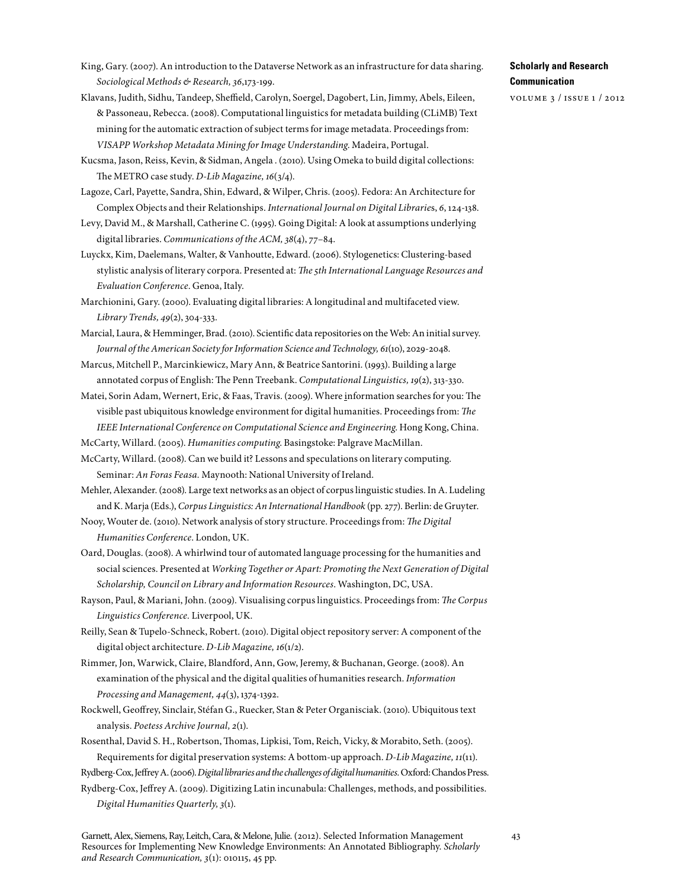- King, Gary. (2007). An introduction to the Dataverse Network as an infrastructure for data sharing. *Sociological Methods & Research,36*,173-199.
- Klavans, Judith, Sidhu, Tandeep, Sheffield, Carolyn, Soergel, Dagobert, Lin, Jimmy, Abels, Eileen, & Passoneau, Rebecca. (2008). Computational linguistics for metadata building (CLiMB) Text mining for the automatic extraction of subject terms for image metadata. Proceedings from: *VISAPP Workshop Metadata Mining for Image Understanding*. Madeira, Portugal.
- Kucsma, Jason, Reiss, Kevin, & Sidman, Angela . (2010). Using Omeka to build digital collections: The METRO case study. *D-Lib Magazine, 16*(3/4).
- Lagoze, Carl, Payette, Sandra, Shin, Edward, & Wilper, Chris. (2005). Fedora: An Architecture for Complex Objects and their Relationships. *International Journal on Digital Librarie*s, *6*, 124-138.
- Levy, David M., & Marshall, Catherine C. (1995). Going Digital: A look at assumptions underlying digital libraries. *Communications of the ACM,38*(4), 77–84.
- Luyckx, Kim, Daelemans, Walter, & Vanhoutte, Edward. (2006). Stylogenetics: Clustering-based stylistic analysis of literary corpora. Presented at: *The 5th International Language Resources and Evaluation Conference*. Genoa, Italy.
- Marchionini, Gary. (2000). Evaluating digital libraries: A longitudinal and multifaceted view. *Library Trends, 49*(2), 304-333.
- Marcial, Laura, & Hemminger, Brad. (2010). Scientific data repositories on the Web: An initial survey. *Journal of the American Society for Information Science and Technology, 61*(10), 2029-2048.
- Marcus, Mitchell P., Marcinkiewicz, Mary Ann, & Beatrice Santorini. (1993). Building a large annotated corpus of English: The Penn Treebank. *Computational Linguistics, 19*(2), 313-330.
- Matei, Sorin Adam, Wernert, Eric, & Faas, Travis. (2009). Where information searches for you: The visible past ubiquitous knowledge environment for digital humanities. Proceedings from: *The IEEE International Conference on Computational Science and Engineering*. Hong Kong, China.
- McCarty, Willard. (2005). *Humanities computing*. Basingstoke: Palgrave MacMillan.
- McCarty, Willard. (2008). Can we build it? Lessons and speculations on literary computing. Seminar: *An Foras Feasa.* Maynooth: National University of Ireland.
- Mehler, Alexander. (2008). Large text networks as an object of corpus linguistic studies. In A. Ludeling and K. Marja (Eds.), *Corpus Linguistics: An International Handbook* (pp. 277). Berlin: de Gruyter.
- Nooy, Wouter de. (2010). Network analysis of story structure. Proceedings from: *The Digital Humanities Conference*. London, UK.
- Oard, Douglas. (2008). A whirlwind tour of automated language processing for the humanities and social sciences. Presented at *Working Together or Apart: Promoting the Next Generation of Digital Scholarship, Council on Library and Information Resources*. Washington, DC, USA.
- Rayson, Paul, & Mariani, John. (2009). Visualising corpus linguistics. Proceedings from: *The Corpus Linguistics Conference.* Liverpool, UK.
- Reilly, Sean & Tupelo-Schneck, Robert. (2010). Digital object repository server: A component of the digital object architecture. *D-Lib Magazine, 16*(1/2).
- Rimmer, Jon, Warwick, Claire, Blandford, Ann, Gow, Jeremy, & Buchanan, George. (2008). An examination of the physical and the digital qualities of humanities research. *Information Processing and Management, 44*(3), 1374-1392.
- Rockwell, Geoffrey, Sinclair, Stéfan G., Ruecker, Stan & Peter Organisciak. (2010). Ubiquitous text analysis. *Poetess Archive Journal, 2*(1).
- Rosenthal, David S. H., Robertson, Thomas, Lipkisi, Tom, Reich, Vicky, & Morabito, Seth. (2005). Requirements for digital preservation systems: A bottom-up approach. *D-Lib Magazine, 11*(11).
- Rydberg-Cox, Jeffrey A. (2006). *Digital libraries and the challenges of digital humanities.* Oxford: Chandos Press.
- Rydberg-Cox, Jeffrey A. (2009). Digitizing Latin incunabula: Challenges, methods, and possibilities. *Digital Humanities Quarterly,3*(1).
- Garnett, Alex, Siemens, Ray, Leitch, Cara, & Melone, Julie. (2012). Selected Information Management Resources for Implementing New Knowledge Environments: An Annotated Bibliography. *Scholarly and Research Communication, 3*(1): 010115, 45 pp.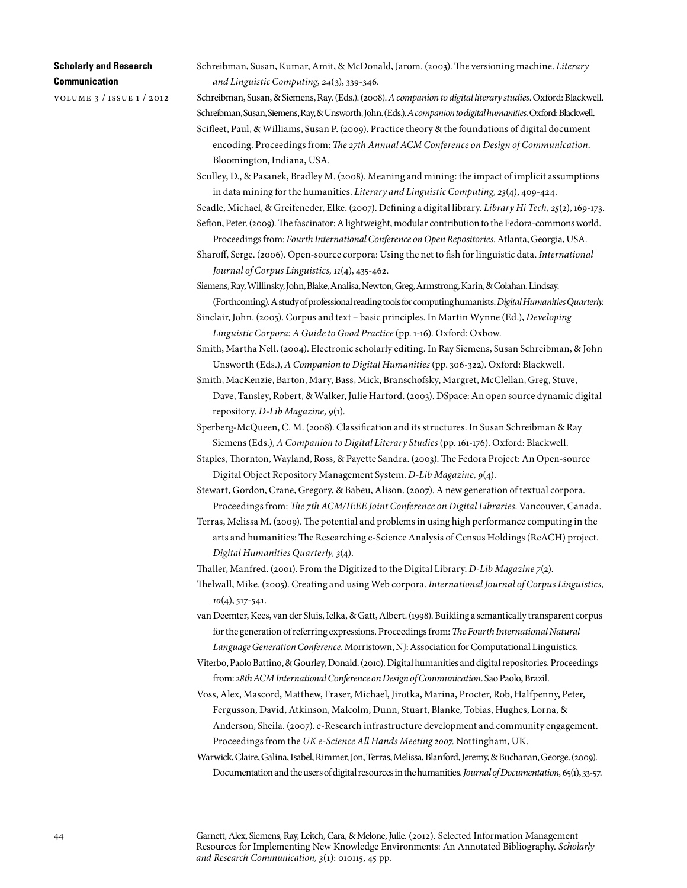volume 3 / issue 1 / 2012

Schreibman, Susan, Kumar, Amit, & McDonald, Jarom. (2003). The versioning machine. *Literary and Linguistic Computing, 24*(3), 339-346.

Schreibman, Susan, & Siemens, Ray. (Eds.). (2008). *A companion to digital literary studies*. Oxford: Blackwell. Schreibman, Susan, Siemens, Ray, & Unsworth, John. (Eds.). *A companion to digital humanities.* Oxford: Blackwell. Scifleet, Paul, & Williams, Susan P. (2009). Practice theory & the foundations of digital document

encoding. Proceedings from: *The 27th Annual ACM Conference on Design of Communication*. Bloomington, Indiana, USA.

Sculley, D., & Pasanek, Bradley M. (2008). Meaning and mining: the impact of implicit assumptions in data mining for the humanities. *Literary and Linguistic Computing, 23*(4), 409-424.

Seadle, Michael, & Greifeneder, Elke. (2007). Defining a digital library. *Library Hi Tech, 25*(2), 169-173. Sefton, Peter. (2009). The fascinator: A lightweight, modular contribution to the Fedora-commons world.

Proceedings from: *Fourth International Conference on Open Repositories.* Atlanta, Georgia, USA.

Sharoff, Serge. (2006). Open-source corpora: Using the net to fish for linguistic data. *International Journal of Corpus Linguistics, 11*(4), 435-462.

Siemens, Ray, Willinsky, John, Blake, Analisa, Newton, Greg, Armstrong, Karin, & Colahan. Lindsay.

(Forthcoming). A study of professional reading tools for computing humanists. *Digital Humanities Quarterly*. Sinclair, John. (2005). Corpus and text – basic principles. In Martin Wynne (Ed.), *Developing* 

*Linguistic Corpora: A Guide to Good Practice* (pp. 1-16)*.* Oxford: Oxbow.

Smith, Martha Nell. (2004). Electronic scholarly editing. In Ray Siemens, Susan Schreibman, & John Unsworth (Eds.), *A Companion to Digital Humanities* (pp. 306-322). Oxford: Blackwell.

Smith, MacKenzie, Barton, Mary, Bass, Mick, Branschofsky, Margret, McClellan, Greg, Stuve, Dave, Tansley, Robert, & Walker, Julie Harford. (2003). DSpace: An open source dynamic digital repository. *D-Lib Magazine, 9*(1).

Sperberg-McQueen, C. M. (2008). Classification and its structures. In Susan Schreibman & Ray Siemens(Eds.), *A Companion to Digital Literary Studies* (pp. 161-176). Oxford: Blackwell.

Staples, Thornton, Wayland, Ross, & Payette Sandra. (2003). The Fedora Project: An Open-source Digital Object Repository Management System. *D-Lib Magazine, 9*(4).

Stewart, Gordon, Crane, Gregory, & Babeu, Alison. (2007). A new generation of textual corpora. Proceedings from: *The 7th ACM/IEEE Joint Conference on Digital Libraries*. Vancouver, Canada.

Terras, Melissa M. (2009). The potential and problems in using high performance computing in the arts and humanities: The Researching e-Science Analysis of Census Holdings (ReACH) project. *Digital Humanities Quarterly,3*(4).

Thaller, Manfred. (2001). From the Digitized to the Digital Library. *D-Lib Magazine 7*(2).

Thelwall, Mike. (2005). Creating and using Web corpora. *International Journal of Corpus Linguistics, 10*(4), 517-541.

van Deemter, Kees, van der Sluis, Ielka, & Gatt, Albert. (1998). Building a semantically transparent corpus for the generation of referring expressions. Proceedings from: *The Fourth International Natural Language Generation Conference*. Morristown, NJ: Association for Computational Linguistics.

Viterbo, Paolo Battino, & Gourley, Donald. (2010). Digital humanities and digital repositories. Proceedings from: *28th ACM International Conference on Design of Communication*. Sao Paolo, Brazil.

Voss, Alex, Mascord, Matthew, Fraser, Michael, Jirotka, Marina, Procter, Rob, Halfpenny, Peter, Fergusson, David, Atkinson, Malcolm, Dunn, Stuart, Blanke, Tobias, Hughes, Lorna, & Anderson, Sheila. (2007). e-Research infrastructure development and community engagement. Proceedings from the *UK e-Science All Hands Meeting 2007*. Nottingham, UK.

Warwick, Claire, Galina, Isabel, Rimmer, Jon, Terras, Melissa, Blanford, Jeremy, & Buchanan, George. (2009). Documentation and the users of digital resources in the humanities. *Journal of Documentation,* 65(1), 33-57.